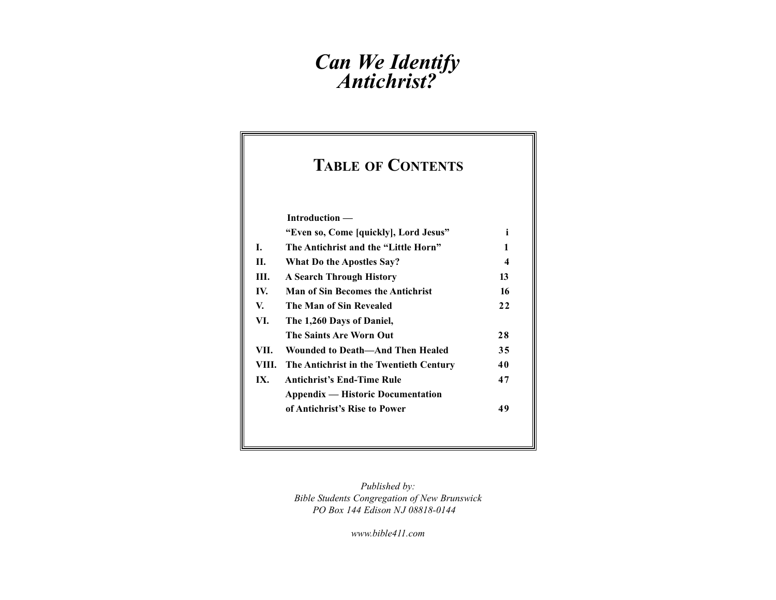# *Can We Identify Antichrist?*

# **TABLE OF CONTENTS**

|       | Introduction —                           |    |
|-------|------------------------------------------|----|
|       | "Even so, Come [quickly], Lord Jesus"    | i  |
| L.    | The Antichrist and the "Little Horn"     | 1  |
| П.    | What Do the Apostles Say?                | 4  |
| Ш.    | A Search Through History                 | 13 |
| IV.   | <b>Man of Sin Becomes the Antichrist</b> | 16 |
| V.    | The Man of Sin Revealed                  | 22 |
| VI.   | The 1,260 Days of Daniel,                |    |
|       | The Saints Are Worn Out                  | 28 |
| VII.  | <b>Wounded to Death—And Then Healed</b>  | 35 |
| VIII. | The Antichrist in the Twentieth Century  | 40 |
| IX.   | <b>Antichrist's End-Time Rule</b>        | 47 |
|       | <b>Appendix — Historic Documentation</b> |    |
|       | of Antichrist's Rise to Power            | 49 |

*Published by: Bible Students Congregation of New Brunswick PO Box 144 Ediso<sup>n</sup> NJ 08818-0144*

*www.bible411.com*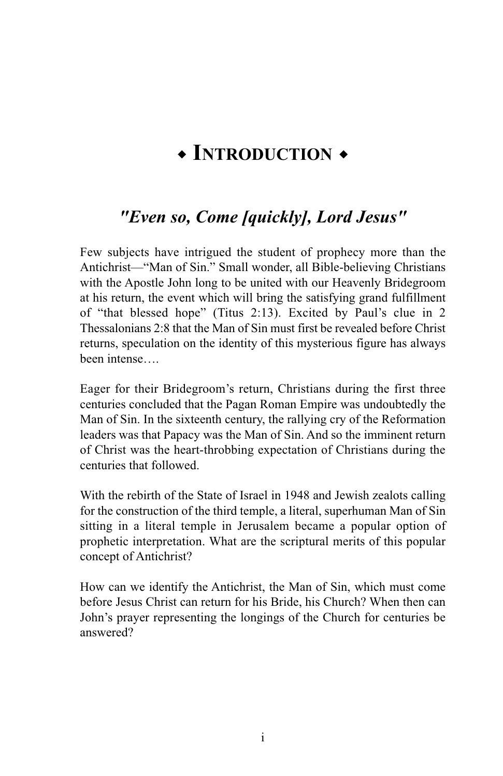# **EXTRODUCTION**

## *"Even so, Come [quickly], Lord Jesus"*

Few subjects have intrigued the student of prophecy more than the Antichrist—"Man of Sin." Small wonder, all Bible-believing Christians with the Apostle John long to be united with our Heavenly Bridegroom at his return, the event which will bring the satisfying grand fulfillment of "that blessed hope" (Titus 2:13). Excited by Paul's clue in 2 Thessalonians 2:8 that the Man of Sin must first be revealed before Christ returns, speculation on the identity of this mysterious figure has always been intense….

Eager for their Bridegroom's return, Christians during the first three centuries concluded that the Pagan Roman Empire was undoubtedly the Man of Sin. In the sixteenth century, the rallying cry of the Reformation leaders was that Papacy was the Man of Sin. And so the imminent return of Christ was the heart-throbbing expectation of Christians during the centuries that followed.

With the rebirth of the State of Israel in 1948 and Jewish zealots calling for the construction of the third temple, a literal, superhuman Man of Sin sitting in a literal temple in Jerusalem became a popular option of prophetic interpretation. What are the scriptural merits of this popular concept of Antichrist?

How can we identify the Antichrist, the Man of Sin, which must come before Jesus Christ can return for his Bride, his Church? When then can John's prayer representing the longings of the Church for centuries be answered?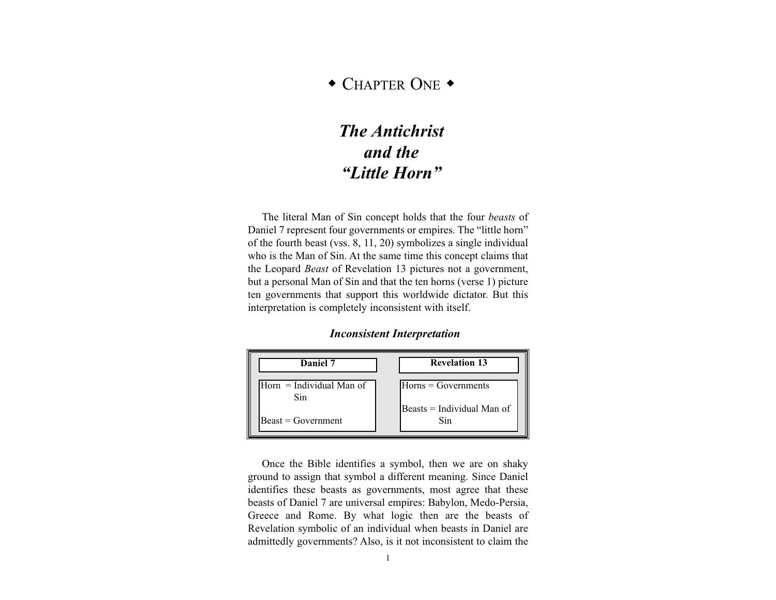# $\bullet$  Chapter One  $\bullet$

# *The Antichrist and the "Little Horn"*

The literal Man of Sin concept holds that the four *beasts* of Daniel 7 represent four governments or empires. The "little horn" of the fourth beast (vss. 8, 11, 20) symbolizes a single individual who is the Man of Sin. At the same time this concept claims that the Leopard *Beast* of Revelation 13 pictures not a government, but a personal Man of Sin and that the ten horns (verse 1) picture ten governments that support this worldwide dictator. But this interpretation is completely inconsistent with itself.

### *Inconsistent Interpretation*



Once the Bible identifies a symbol, then we are on shaky ground to assign that symbol a different meaning. Since Daniel identifies these beasts as governments, most agree that these beasts of Daniel 7 are universal empires: Babylon, Medo-Persia, Greece and Rome. By what logic then are the beasts of Revelation symbolic of an individual when beasts in Daniel are admittedly governments? Also, is it not inconsistent to claim the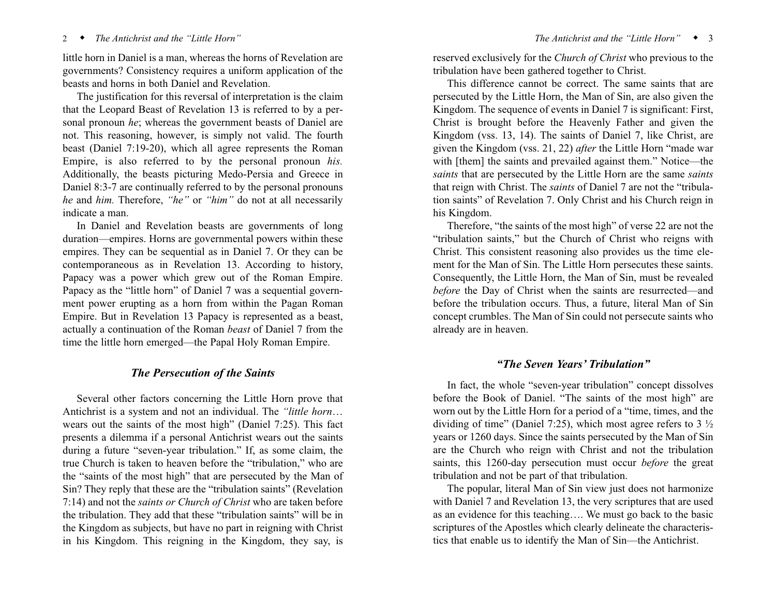#### *The Antichrist and the "Little Horn"*  $\bullet$  3

#### 2 <sup>w</sup> *The Antichrist and the "Little Horn"*

little horn in Daniel is a man, whereas the horns of Revelation are governments? Consistency requires a uniform application of the beasts and horns in both Daniel and Revelation.

The justification for this reversal of interpretation is the claim that the Leopard Beast of Revelation 13 is referred to by a personal pronoun *he*; whereas the government beasts of Daniel are not. This reasoning, however, is simply not valid. The fourth beast (Daniel 7:19-20), which all agree represents the Roman Empire, is also referred to by the personal pronoun *his.* Additionally, the beasts picturing Medo-Persia and Greece in Daniel 8:3-7 are continually referred to by the personal pronouns *he* and *him.* Therefore, *"he"* or *"him"* do not at all necessarily indicate a man.

In Daniel and Revelation beasts are governments of long duration—empires. Horns are governmental powers within these empires. They can be sequential as in Daniel 7. Or they can be contemporaneous as in Revelation 13. According to history, Papacy was a power which grew out of the Roman Empire. Papacy as the "little horn" of Daniel 7 was a sequential government power erupting as a horn from within the Pagan Roman Empire. But in Revelation 13 Papacy is represented as a beast, actually a continuation of the Roman *beast* of Daniel 7 from the time the little horn emerged—the Papal Holy Roman Empire.

### *The Persecution of the Saints*

Several other factors concerning the Little Horn prove that Antichrist is a system and not an individual. The *"little horn*… wears out the saints of the most high" (Daniel 7:25). This fact presents a dilemma if a personal Antichrist wears out the saints during a future "seven-year tribulation." If, as some claim, the true Church is taken to heaven before the "tribulation," who are the "saints of the most high" that are persecuted by the Man of Sin? They reply that these are the "tribulation saints" (Revelation 7:14) and not the *saints or Church of Christ* who are taken before the tribulation. They add that these "tribulation saints" will be in the Kingdom as subjects, but have no part in reigning with Christ in his Kingdom. This reigning in the Kingdom, they say, is

reserved exclusively for the *Church of Christ* who previous to the tribulation have been gathered together to Christ.

This difference cannot be correct. The same saints that are persecuted by the Little Horn, the Man of Sin, are also given the Kingdom. The sequence of events in Daniel 7 is significant: First, Christ is brought before the Heavenly Father and given the Kingdom (vss. 13, 14). The saints of Daniel 7, like Christ, are given the Kingdom (vss. 21, 22) *after* the Little Horn "made war with [them] the saints and prevailed against them." Notice—the *saints* that are persecuted by the Little Horn are the same *saints* that reign with Christ. The *saints* of Daniel 7 are not the "tribulation saints" of Revelation 7. Only Christ and his Church reign in his Kingdom.

Therefore, "the saints of the most high" of verse 22 are not the "tribulation saints," but the Church of Christ who reigns with Christ. This consistent reasoning also provides us the time element for the Man of Sin. The Little Horn persecutes these saints. Consequently, the Little Horn, the Man of Sin, must be revealed *before* the Day of Christ when the saints are resurrected—and before the tribulation occurs. Thus, a future, literal Man of Sin concept crumbles. The Man of Sin could not persecute saints who already are in heaven.

### *"The Seven Years' Tribulation"*

In fact, the whole "seven-year tribulation" concept dissolves before the Book of Daniel. "The saints of the most high" are worn out by the Little Horn for a period of a "time, times, and the dividing of time" (Daniel 7:25), which most agree refers to  $3\frac{1}{2}$ years or 1260 days. Since the saints persecuted by the Man of Sin are the Church who reign with Christ and not the tribulation saints, this 1260-day persecution must occur *before* the great tribulation and not be part of that tribulation.

The popular, literal Man of Sin view just does not harmonize with Daniel 7 and Revelation 13, the very scriptures that are used as an evidence for this teaching…. We must go back to the basic scriptures of the Apostles which clearly delineate the characteristics that enable us to identify the Man of Sin—the Antichrist.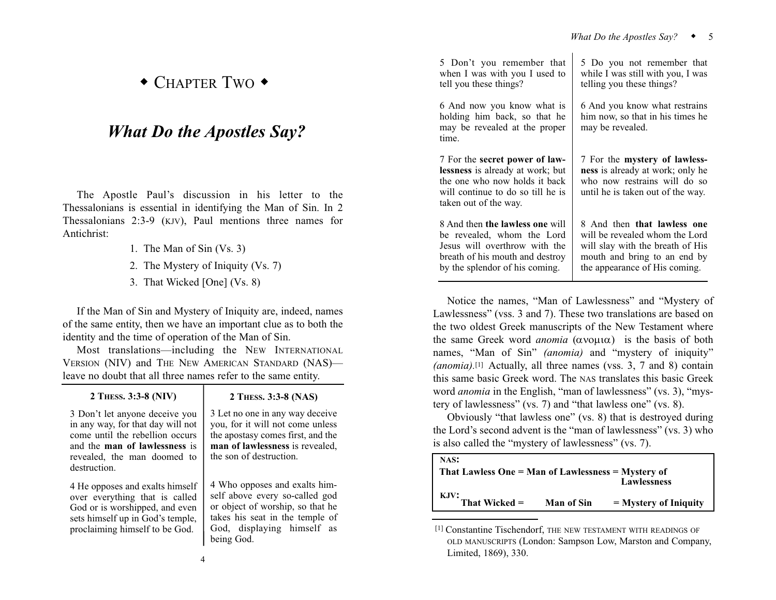# $\bullet$  CHAPTER TWO  $\bullet$

# *What Do the Apostles Say?*

The Apostle Paul's discussion in his letter to the Thessalonians is essential in identifying the Man of Sin. In 2 Thessalonians 2:3-9 (KJV), Paul mentions three names for Antichrist:

- 1. The Man of Sin (Vs. 3)
- 2. The Mystery of Iniquity (Vs. 7)
- 3. That Wicked [One] (Vs. 8)

If the Man of Sin and Mystery of Iniquity are, indeed, names of the same entity, then we have an important clue as to both the identity and the time of operation of the Man of Sin.

Most translations—including the NEW INTERNATIONAL VERSION (NIV) and THE NEW AMERICAN STANDARD (NAS) leave no doubt that all three names refer to the same entity.

#### **2 THESS. 3:3-8 (NIV)**

#### **2 THESS. 3:3-8 (NAS)**

3 Don't let anyone deceive you in any way, for that day will not come until the rebellion occurs and the **man of lawlessness** is revealed, the man doomed to destruction.

4 He opposes and exalts himself over everything that is called God or is worshipped, and even sets himself up in God's temple, proclaiming himself to be God.

3 Let no one in any way deceive you, for it will not come unless the apostasy comes first, and the **man of lawlessness** is revealed, the son of destruction.

4 Who opposes and exalts himself above every so-called god or object of worship, so that he takes his seat in the temple of God, displaying himself as being God.

| 5 Don't you remember that                                                                                                                                                | 5 Do you not remember that                                                                                                                    |
|--------------------------------------------------------------------------------------------------------------------------------------------------------------------------|-----------------------------------------------------------------------------------------------------------------------------------------------|
| when I was with you I used to                                                                                                                                            | while I was still with you, I was                                                                                                             |
| tell you these things?                                                                                                                                                   | telling you these things?                                                                                                                     |
| 6 And now you know what is<br>holding him back, so that he<br>may be revealed at the proper<br>time.                                                                     | 6 And you know what restrains<br>him now, so that in his times he<br>may be revealed.                                                         |
| 7 For the secret power of law-<br><b>lessness</b> is already at work; but<br>the one who now holds it back<br>will continue to do so till he is<br>taken out of the way. | 7 For the mystery of lawless-<br><b>ness</b> is already at work; only he<br>who now restrains will do so<br>until he is taken out of the way. |
| 8 And then <b>the lawless one</b> will                                                                                                                                   | 8 And then <b>that lawless one</b>                                                                                                            |
| be revealed, whom the Lord                                                                                                                                               | will be revealed whom the Lord                                                                                                                |
| Jesus will overthrow with the                                                                                                                                            | will slay with the breath of His                                                                                                              |
| breath of his mouth and destroy                                                                                                                                          | mouth and bring to an end by                                                                                                                  |
| by the splendor of his coming.                                                                                                                                           | the appearance of His coming.                                                                                                                 |

Notice the names, "Man of Lawlessness" and "Mystery of Lawlessness" (vss. 3 and 7). These two translations are based on the two oldest Greek manuscripts of the New Testament where the same Greek word *anomia* (ανομια) is the basis of both names, "Man of Sin" *(anomia)* and "mystery of iniquity" *(anomia).*[1] Actually, all three names (vss. 3, 7 and 8) contain this same basic Greek word. The NAS translates this basic Greek word *anomia* in the English, "man of lawlessness" (vs. 3), "mystery of lawlessness" (vs. 7) and "that lawless one" (vs. 8).

Obviously "that lawless one" (vs. 8) that is destroyed during the Lord's second advent is the "man of lawlessness" (vs. 3) who is also called the "mystery of lawlessness" (vs. 7).

|                   | That Lawless One $=$ Man of Lawlessness $=$ Mystery of |
|-------------------|--------------------------------------------------------|
|                   | <b>Lawlessness</b>                                     |
|                   |                                                        |
| <b>Man of Sin</b> | $=$ Mystery of Iniquity                                |
|                   |                                                        |

<sup>[1]</sup> Constantine Tischendorf, THE NEW TESTAMENT WITH READINGS OF OLD MANUSCRIPTS (London: Sampson Low, Marston and Company, Limited, 1869), 330.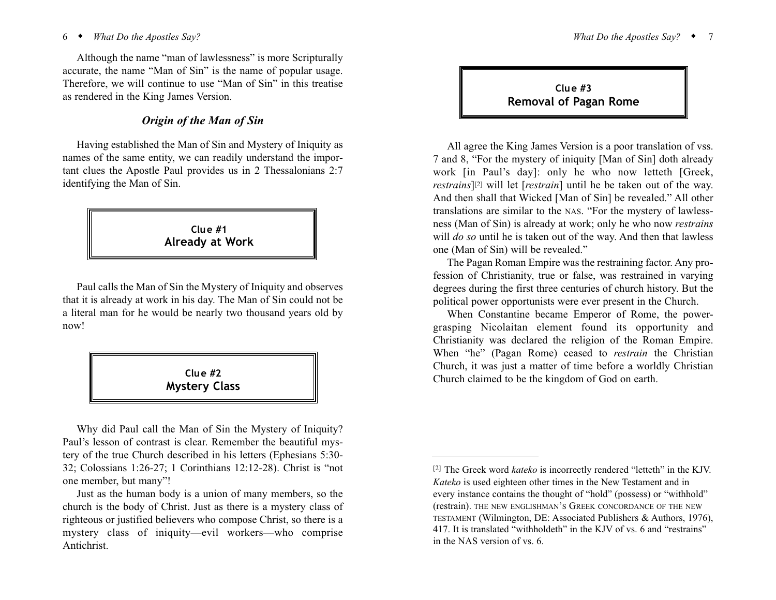Although the name "man of lawlessness" is more Scripturally accurate, the name "Man of Sin" is the name of popular usage. Therefore, we will continue to use "Man of Sin" in this treatise as rendered in the King James Version.

## *Origin of the Man of Sin*

Having established the Man of Sin and Mystery of Iniquity as names of the same entity, we can readily understand the important clues the Apostle Paul provides us in 2 Thessalonians 2:7 identifying the Man of Sin.



Paul calls the Man of Sin the Mystery of Iniquity and observes that it is already at work in his day. The Man of Sin could not be a literal man for he would be nearly two thousand years old by now!

> **Clue #2 Mystery Class**

Why did Paul call the Man of Sin the Mystery of Iniquity? Paul's lesson of contrast is clear. Remember the beautiful mystery of the true Church described in his letters (Ephesians 5:30- 32; Colossians 1:26-27; 1 Corinthians 12:12-28). Christ is "not one member, but many"!

6 <sup>w</sup> *What Do the Apostles Say? What Do the Apostles Say?* <sup>w</sup>7

**Clue #3 Removal of Pagan Rome**

All agree the King James Version is a poor translation of vss. 7 and 8, "For the mystery of iniquity [Man of Sin] doth already work [in Paul's day]: only he who now letteth [Greek, *restrains*][2] will let [*restrain*] until he be taken out of the way. And then shall that Wicked [Man of Sin] be revealed." All other translations are similar to the NAS. "For the mystery of lawlessness (Man of Sin) is already at work; only he who now *restrains* will *do so* until he is taken out of the way. And then that lawless one (Man of Sin) will be revealed."

The Pagan Roman Empire was the restraining factor. Any profession of Christianity, true or false, was restrained in varying degrees during the first three centuries of church history. But the political power opportunists were ever present in the Church.

When Constantine became Emperor of Rome, the powergrasping Nicolaitan element found its opportunity and Christianity was declared the religion of the Roman Empire. When "he" (Pagan Rome) ceased to *restrain* the Christian Church, it was just a matter of time before a worldly Christian Church claimed to be the kingdom of God on earth.

Just as the human body is a union of many members, so the church is the body of Christ. Just as there is a mystery class of righteous or justified believers who compose Christ, so there is a mystery class of iniquity—evil workers—who comprise Antichrist.

<sup>[2]</sup> The Greek word *kateko* is incorrectly rendered "letteth" in the KJV. *Kateko* is used eighteen other times in the New Testament and in every instance contains the thought of "hold" (possess) or "withhold" (restrain). THE NEW ENGLISHMAN'S GREEK CONCORDANCE OF THE NEW TESTAMENT (Wilmington, DE: Associated Publishers & Authors, 1976), 417. It is translated "withholdeth" in the KJV of vs. 6 and "restrains" in the NAS version of vs. 6.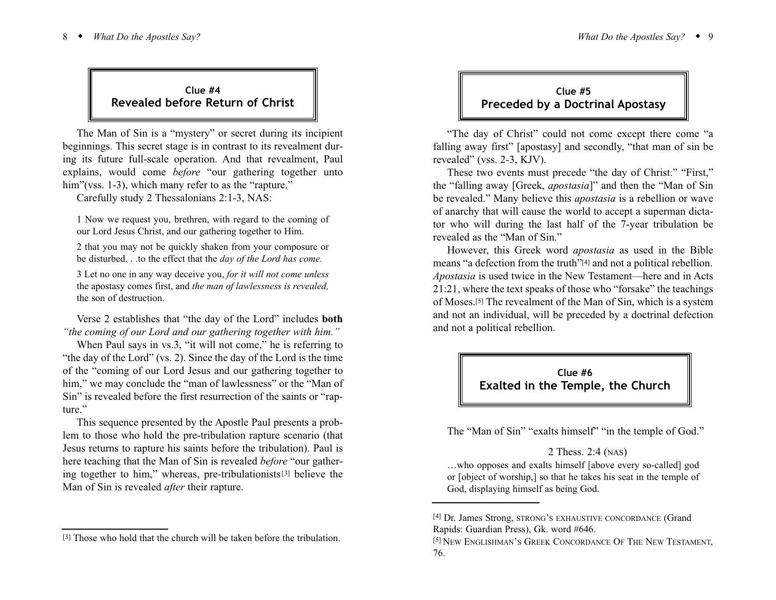## **Clue #4 Revealed before Return of Christ**

The Man of Sin is a "mystery" or secret during its incipient beginnings. This secret stage is in contrast to its revealment during its future full-scale operation. And that revealment, Paul explains, would come *before* "our gathering together unto him"(vss. 1-3), which many refer to as the "rapture."

Carefully study 2 Thessalonians 2:1-3, NAS:

1 Now we request you, brethren, with regard to the coming of our Lord Jesus Christ, and our gathering together to Him.

2 that you may not be quickly shaken from your composure or be disturbed. . .to the effect that the *day of the Lord has come.*

3 Let no one in any way deceive you, *for it will not come unless* the apostasy comes first, and *the man of lawlessness is revealed,* the son of destruction.

Verse 2 establishes that "the day of the Lord" includes **both** *"the coming of our Lord and our gathering together with him."*

When Paul says in vs.3, "it will not come," he is referring to "the day of the Lord" (vs. 2). Since the day of the Lord is the time of the "coming of our Lord Jesus and our gathering together to him," we may conclude the "man of lawlessness" or the "Man of Sin" is revealed before the first resurrection of the saints or "rapture."

This sequence presented by the Apostle Paul presents a problem to those who hold the pre-tribulation rapture scenario (that Jesus returns to rapture his saints before the tribulation). Paul is here teaching that the Man of Sin is revealed *before* "our gathering together to him," whereas, pre-tribulationists[3] believe the Man of Sin is revealed *after* their rapture.

# **Clue #5 Preceded by a Doctrinal Apostasy**

"The day of Christ" could not come except there come "a falling away first" [apostasy] and secondly, "that man of sin be revealed" (vss. 2-3, KJV).

These two events must precede "the day of Christ." "First," the "falling away [Greek, *apostasia*]" and then the "Man of Sin be revealed." Many believe this *apostasia* is a rebellion or wave of anarchy that will cause the world to accept a superman dictator who will during the last half of the 7-year tribulation be revealed as the "Man of Sin."

However, this Greek word *apostasia* as used in the Bible means "a defection from the truth"[4] and not a political rebellion. *Apostasia* is used twice in the New Testament—here and in Acts 21:21, where the text speaks of those who "forsake" the teachings of Moses.[5] The revealment of the Man of Sin, which is a system and not an individual, will be preceded by a doctrinal defection and not a political rebellion.

> **Clue #6 Exalted in the Temple, the Church**

The "Man of Sin" "exalts himself" "in the temple of God."

#### 2 Thess. 2:4 (NAS)

…who opposes and exalts himself [above every so-called] god or [object of worship,] so that he takes his seat in the temple of God, displaying himself as being God.

<sup>[3]</sup> Those who hold that the church will be taken before the tribulation.

<sup>[4]</sup> Dr. James Strong, STRONG'S EXHAUSTIVE CONCORDANCE (Grand Rapids: Guardian Press), Gk. word #646.

<sup>[5]</sup> NEW ENGLISHMAN'S GREEK CONCORDANCE OF THE NEW TESTAMENT, 76.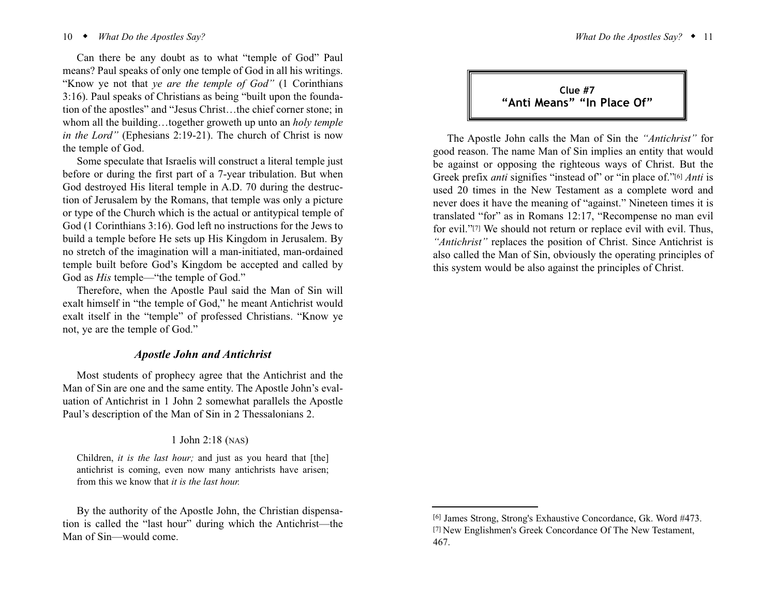#### 10 • *What Do the Apostles Say?*

*What Do the Apostles Say?*  $\bullet$  11

Can there be any doubt as to what "temple of God" Paul means? Paul speaks of only one temple of God in all his writings. "Know ye not that *ye are the temple of God"* (1 Corinthians 3:16). Paul speaks of Christians as being "built upon the foundation of the apostles" and "Jesus Christ…the chief corner stone; in whom all the building…together groweth up unto an *holy temple in the Lord"* (Ephesians 2:19-21). The church of Christ is now the temple of God.

Some speculate that Israelis will construct a literal temple just before or during the first part of a 7-year tribulation. But when God destroyed His literal temple in A.D. 70 during the destruction of Jerusalem by the Romans, that temple was only a picture or type of the Church which is the actual or antitypical temple of God (1 Corinthians 3:16). God left no instructions for the Jews to build a temple before He sets up His Kingdom in Jerusalem. By no stretch of the imagination will a man-initiated, man-ordained temple built before God's Kingdom be accepted and called by God as *His* temple—"the temple of God."

Therefore, when the Apostle Paul said the Man of Sin will exalt himself in "the temple of God," he meant Antichrist would exalt itself in the "temple" of professed Christians. "Know ye not, ye are the temple of God."

### *Apostle John and Antichrist*

Most students of prophecy agree that the Antichrist and the Man of Sin are one and the same entity. The Apostle John's evaluation of Antichrist in 1 John 2 somewhat parallels the Apostle Paul's description of the Man of Sin in 2 Thessalonians 2.

## 1 John 2:18 (NAS)

Children, *it is the last hour;* and just as you heard that [the] antichrist is coming, even now many antichrists have arisen; from this we know that *it is the last hour.*

By the authority of the Apostle John, the Christian dispensation is called the "last hour" during which the Antichrist—the Man of Sin—would come.

**Clue #7 "Anti Means" "In Place Of"**

The Apostle John calls the Man of Sin the *"Antichrist"* for good reason. The name Man of Sin implies an entity that would be against or opposing the righteous ways of Christ. But the Greek prefix *anti* signifies "instead of" or "in place of."<sup>[6]</sup> *Anti* is used 20 times in the New Testament as a complete word and never does it have the meaning of "against." Nineteen times it is translated "for" as in Romans 12:17, "Recompense no man evil for evil."[7] We should not return or replace evil with evil. Thus, *"Antichrist"* replaces the position of Christ. Since Antichrist is also called the Man of Sin, obviously the operating principles of this system would be also against the principles of Christ.

<sup>[6]</sup> James Strong, Strong's Exhaustive Concordance, Gk. Word #473. [7] New Englishmen's Greek Concordance Of The New Testament, 467.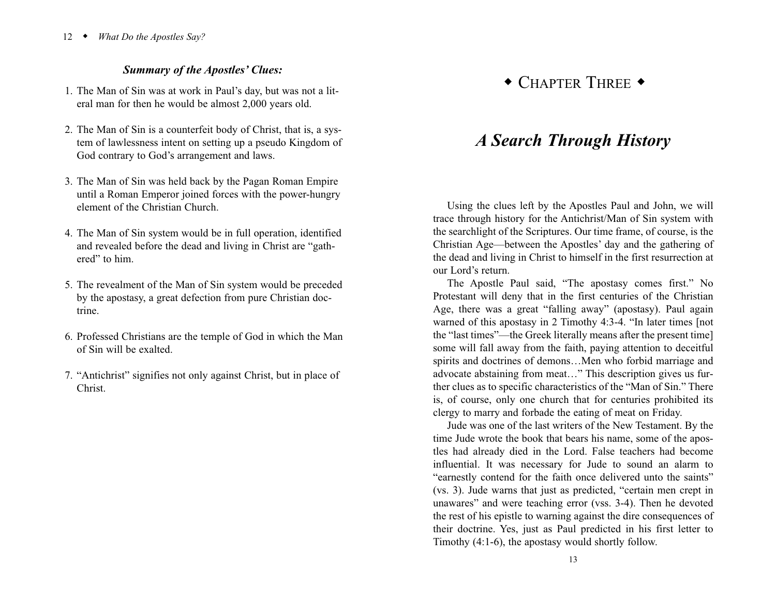## *Summary of the Apostles' Clues:*

- 1. The Man of Sin was at work in Paul's day, but was not a literal man for then he would be almost 2,000 years old.
- 2. The Man of Sin is a counterfeit body of Christ, that is, a system of lawlessness intent on setting up a pseudo Kingdom of God contrary to God's arrangement and laws.
- 3. The Man of Sin was held back by the Pagan Roman Empire until a Roman Emperor joined forces with the power-hungry element of the Christian Church.
- 4. The Man of Sin system would be in full operation, identified and revealed before the dead and living in Christ are "gathered" to him.
- 5. The revealment of the Man of Sin system would be preceded by the apostasy, a great defection from pure Christian doctrine.
- 6. Professed Christians are the temple of God in which the Man of Sin will be exalted.
- 7. "Antichrist" signifies not only against Christ, but in place of Christ.

# $\bullet$  CHAPTER THREE  $\bullet$

# *A Search Through History*

Using the clues left by the Apostles Paul and John, we will trace through history for the Antichrist/Man of Sin system with the searchlight of the Scriptures. Our time frame, of course, is the Christian Age—between the Apostles' day and the gathering of the dead and living in Christ to himself in the first resurrection at our Lord's return.

The Apostle Paul said, "The apostasy comes first." No Protestant will deny that in the first centuries of the Christian Age, there was a great "falling away" (apostasy). Paul again warned of this apostasy in 2 Timothy 4:3-4. "In later times [not the "last times"—the Greek literally means after the present time] some will fall away from the faith, paying attention to deceitful spirits and doctrines of demons…Men who forbid marriage and advocate abstaining from meat…" This description gives us further clues as to specific characteristics of the "Man of Sin." There is, of course, only one church that for centuries prohibited its clergy to marry and forbade the eating of meat on Friday.

Jude was one of the last writers of the New Testament. By the time Jude wrote the book that bears his name, some of the apostles had already died in the Lord. False teachers had become influential. It was necessary for Jude to sound an alarm to "earnestly contend for the faith once delivered unto the saints" (vs. 3). Jude warns that just as predicted, "certain men crept in unawares" and were teaching error (vss. 3-4). Then he devoted the rest of his epistle to warning against the dire consequences of their doctrine. Yes, just as Paul predicted in his first letter to Timothy (4:1-6), the apostasy would shortly follow.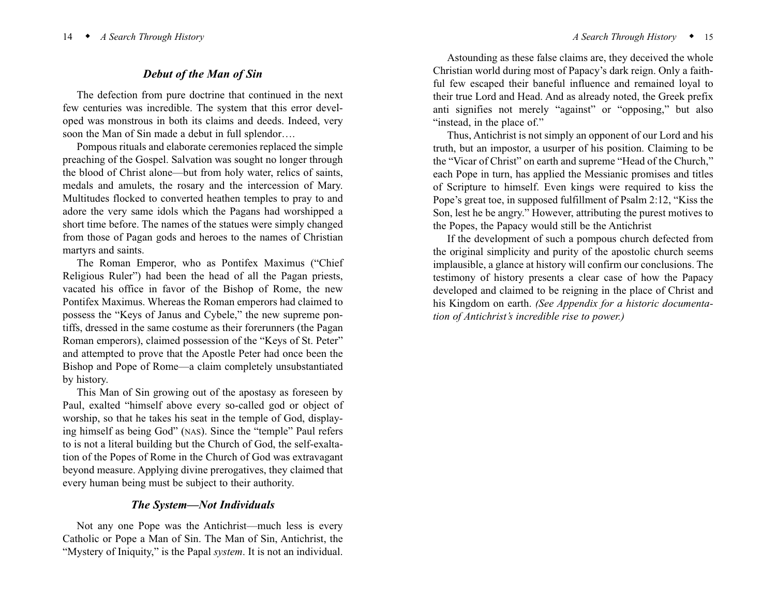## *Debut of the Man of Sin*

The defection from pure doctrine that continued in the next few centuries was incredible. The system that this error developed was monstrous in both its claims and deeds. Indeed, very soon the Man of Sin made a debut in full splendor….

Pompous rituals and elaborate ceremonies replaced the simple preaching of the Gospel. Salvation was sought no longer through the blood of Christ alone—but from holy water, relics of saints, medals and amulets, the rosary and the intercession of Mary. Multitudes flocked to converted heathen temples to pray to and adore the very same idols which the Pagans had worshipped a short time before. The names of the statues were simply changed from those of Pagan gods and heroes to the names of Christian martyrs and saints.

The Roman Emperor, who as Pontifex Maximus ("Chief Religious Ruler") had been the head of all the Pagan priests, vacated his office in favor of the Bishop of Rome, the new Pontifex Maximus. Whereas the Roman emperors had claimed to possess the "Keys of Janus and Cybele," the new supreme pontiffs, dressed in the same costume as their forerunners (the Pagan Roman emperors), claimed possession of the "Keys of St. Peter" and attempted to prove that the Apostle Peter had once been the Bishop and Pope of Rome—a claim completely unsubstantiated by history.

This Man of Sin growing out of the apostasy as foreseen by Paul, exalted "himself above every so-called god or object of worship, so that he takes his seat in the temple of God, displaying himself as being God" (NAS). Since the "temple" Paul refers to is not a literal building but the Church of God, the self-exaltation of the Popes of Rome in the Church of God was extravagant beyond measure. Applying divine prerogatives, they claimed that every human being must be subject to their authority.

## *The System—Not Individuals*

Not any one Pope was the Antichrist—much less is every Catholic or Pope a Man of Sin. The Man of Sin, Antichrist, the "Mystery of Iniquity," is the Papal *system*. It is not an individual.

Astounding as these false claims are, they deceived the whole Christian world during most of Papacy's dark reign. Only a faithful few escaped their baneful influence and remained loyal to their true Lord and Head. And as already noted, the Greek prefix anti signifies not merely "against" or "opposing," but also "instead, in the place of."

Thus, Antichrist is not simply an opponent of our Lord and his truth, but an impostor, a usurper of his position. Claiming to be the "Vicar of Christ" on earth and supreme "Head of the Church," each Pope in turn, has applied the Messianic promises and titles of Scripture to himself. Even kings were required to kiss the Pope's great toe, in supposed fulfillment of Psalm 2:12, "Kiss the Son, lest he be angry." However, attributing the purest motives to the Popes, the Papacy would still be the Antichrist

If the development of such a pompous church defected from the original simplicity and purity of the apostolic church seems implausible, a glance at history will confirm our conclusions. The testimony of history presents a clear case of how the Papacy developed and claimed to be reigning in the place of Christ and his Kingdom on earth. *(See Appendix for a historic documentation of Antichrist's incredible rise to power.)*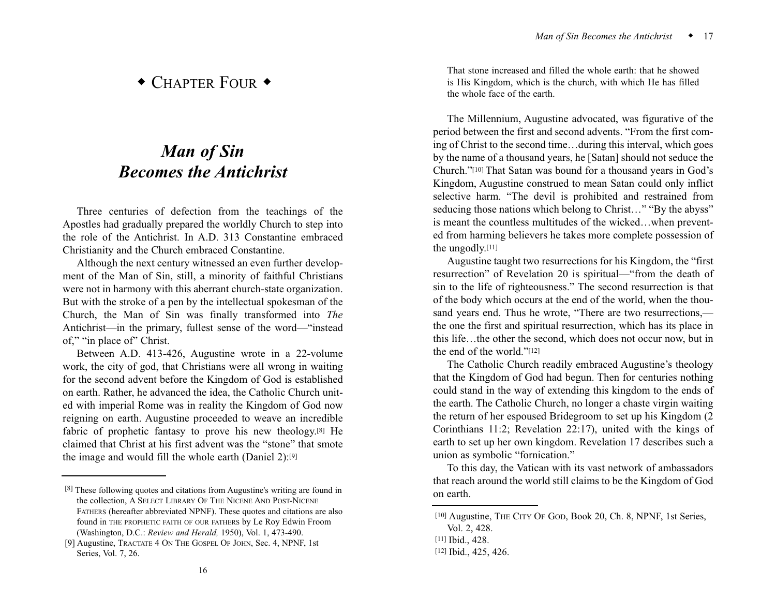# $\bullet$  CHAPTER FOUR  $\bullet$

# *Man of Sin Becomes the Antichrist*

Three centuries of defection from the teachings of the Apostles had gradually prepared the worldly Church to step into the role of the Antichrist. In A.D. 313 Constantine embraced Christianity and the Church embraced Constantine.

Although the next century witnessed an even further development of the Man of Sin, still, a minority of faithful Christians were not in harmony with this aberrant church-state organization. But with the stroke of a pen by the intellectual spokesman of the Church, the Man of Sin was finally transformed into *The* Antichrist—in the primary, fullest sense of the word—"instead of," "in place of" Christ.

Between A.D. 413-426, Augustine wrote in a 22-volume work, the city of god, that Christians were all wrong in waiting for the second advent before the Kingdom of God is established on earth. Rather, he advanced the idea, the Catholic Church united with imperial Rome was in reality the Kingdom of God now reigning on earth. Augustine proceeded to weave an incredible fabric of prophetic fantasy to prove his new theology.[8] He claimed that Christ at his first advent was the "stone" that smote the image and would fill the whole earth (Daniel 2):[9]

That stone increased and filled the whole earth: that he showed is His Kingdom, which is the church, with which He has filled the whole face of the earth.

The Millennium, Augustine advocated, was figurative of the period between the first and second advents. "From the first coming of Christ to the second time…during this interval, which goes by the name of a thousand years, he [Satan] should not seduce the Church."[10] That Satan was bound for a thousand years in God's Kingdom, Augustine construed to mean Satan could only inflict selective harm. "The devil is prohibited and restrained from seducing those nations which belong to Christ..." "By the abyss" is meant the countless multitudes of the wicked…when prevented from harming believers he takes more complete possession of the ungodly.[11]

Augustine taught two resurrections for his Kingdom, the "first resurrection" of Revelation 20 is spiritual—"from the death of sin to the life of righteousness." The second resurrection is that of the body which occurs at the end of the world, when the thousand years end. Thus he wrote, "There are two resurrections, the one the first and spiritual resurrection, which has its place in this life…the other the second, which does not occur now, but in the end of the world."[12]

The Catholic Church readily embraced Augustine's theology that the Kingdom of God had begun. Then for centuries nothing could stand in the way of extending this kingdom to the ends of the earth. The Catholic Church, no longer a chaste virgin waiting the return of her espoused Bridegroom to set up his Kingdom (2 Corinthians 11:2; Revelation 22:17), united with the kings of earth to set up her own kingdom. Revelation 17 describes such a union as symbolic "fornication."

To this day, the Vatican with its vast network of ambassadors that reach around the world still claims to be the Kingdom of God on earth.

<sup>[8]</sup> These following quotes and citations from Augustine's writing are found in the collection, A SELECT LIBRARY OF THE NICENE AND POST-NICENE FATHERS (hereafter abbreviated NPNF). These quotes and citations are also found in THE PROPHETIC FAITH OF OUR FATHERS by Le Roy Edwin Froom (Washington, D.C.: *Review and Herald,* 1950), Vol. 1, 473-490.

<sup>[9]</sup> Augustine, TRACTATE 4 ON THE GOSPEL OF JOHN, Sec. 4, NPNF, 1st Series, Vol. 7, 26.

<sup>[10]</sup> Augustine, THE CITY OF GOD, Book 20, Ch. 8, NPNF, 1st Series, Vol. 2, 428.

<sup>[11]</sup> Ibid., 428.

<sup>[12]</sup> Ibid., 425, 426.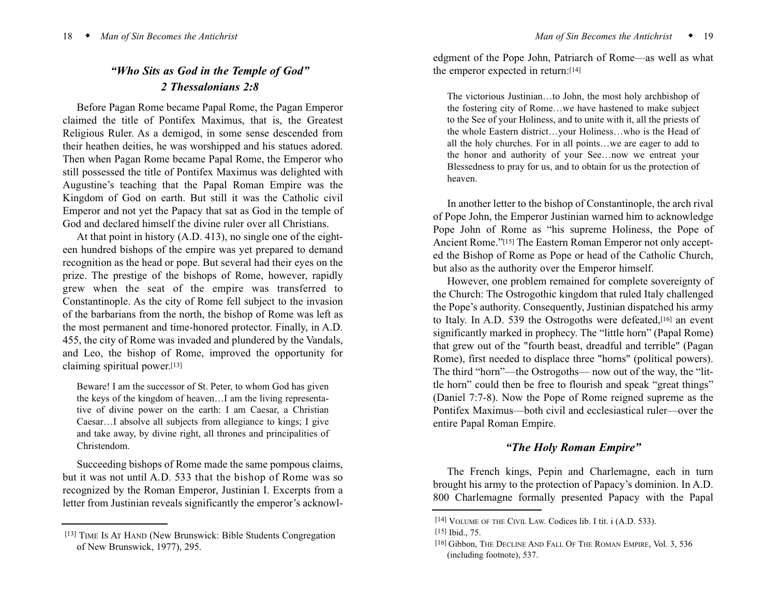# *"Who Sits as God in the Temple of God" 2 Thessalonians 2:8*

Before Pagan Rome became Papal Rome, the Pagan Emperor claimed the title of Pontifex Maximus, that is, the Greatest Religious Ruler. As a demigod, in some sense descended from their heathen deities, he was worshipped and his statues adored. Then when Pagan Rome became Papal Rome, the Emperor who still possessed the title of Pontifex Maximus was delighted with Augustine's teaching that the Papal Roman Empire was the Kingdom of God on earth. But still it was the Catholic civil Emperor and not yet the Papacy that sat as God in the temple of God and declared himself the divine ruler over all Christians.

At that point in history (A.D. 413), no single one of the eighteen hundred bishops of the empire was yet prepared to demand recognition as the head or pope. But several had their eyes on the prize. The prestige of the bishops of Rome, however, rapidly grew when the seat of the empire was transferred to Constantinople. As the city of Rome fell subject to the invasion of the barbarians from the north, the bishop of Rome was left as the most permanent and time-honored protector. Finally, in A.D. 455, the city of Rome was invaded and plundered by the Vandals, and Leo, the bishop of Rome, improved the opportunity for claiming spiritual power.[13]

Beware! I am the successor of St. Peter, to whom God has given the keys of the kingdom of heaven…I am the living representative of divine power on the earth: I am Caesar, a Christian Caesar…I absolve all subjects from allegiance to kings; I give and take away, by divine right, all thrones and principalities of Christendom.

Succeeding bishops of Rome made the same pompous claims, but it was not until A.D. 533 that the bishop of Rome was so recognized by the Roman Emperor, Justinian I. Excerpts from a letter from Justinian reveals significantly the emperor's acknowledgment of the Pope John, Patriarch of Rome—as well as what the emperor expected in return:[14]

The victorious Justinian…to John, the most holy archbishop of the fostering city of Rome…we have hastened to make subject to the See of your Holiness, and to unite with it, all the priests of the whole Eastern district…your Holiness…who is the Head of all the holy churches. For in all points…we are eager to add to the honor and authority of your See…now we entreat your Blessedness to pray for us, and to obtain for us the protection of heaven.

In another letter to the bishop of Constantinople, the arch rival of Pope John, the Emperor Justinian warned him to acknowledge Pope John of Rome as "his supreme Holiness, the Pope of Ancient Rome."[15] The Eastern Roman Emperor not only accepted the Bishop of Rome as Pope or head of the Catholic Church, but also as the authority over the Emperor himself.

However, one problem remained for complete sovereignty of the Church: The Ostrogothic kingdom that ruled Italy challenged the Pope's authority. Consequently, Justinian dispatched his army to Italy. In A.D. 539 the Ostrogoths were defeated,<sup>[16]</sup> an event significantly marked in prophecy. The "little horn" (Papal Rome) that grew out of the "fourth beast, dreadful and terrible" (Pagan Rome), first needed to displace three "horns" (political powers). The third "horn"—the Ostrogoths— now out of the way, the "little horn" could then be free to flourish and speak "great things" (Daniel 7:7-8). Now the Pope of Rome reigned supreme as the Pontifex Maximus—both civil and ecclesiastical ruler—over the entire Papal Roman Empire.

## *"The Holy Roman Empire"*

The French kings, Pepin and Charlemagne, each in turn brought his army to the protection of Papacy's dominion. In A.D. 800 Charlemagne formally presented Papacy with the Papal

<sup>[13]</sup> TIME IS AT HAND (New Brunswick: Bible Students Congregation of New Brunswick, 1977), 295.

<sup>[14]</sup> VOLUME OF THE CIVIL LAW. Codices lib. I tit. i (A.D. 533). [15] Ibid., 75.

<sup>[16]</sup> Gibbon, THE DECLINE AND FALL OF THE ROMAN EMPIRE, Vol. 3, 536 (including footnote), 537.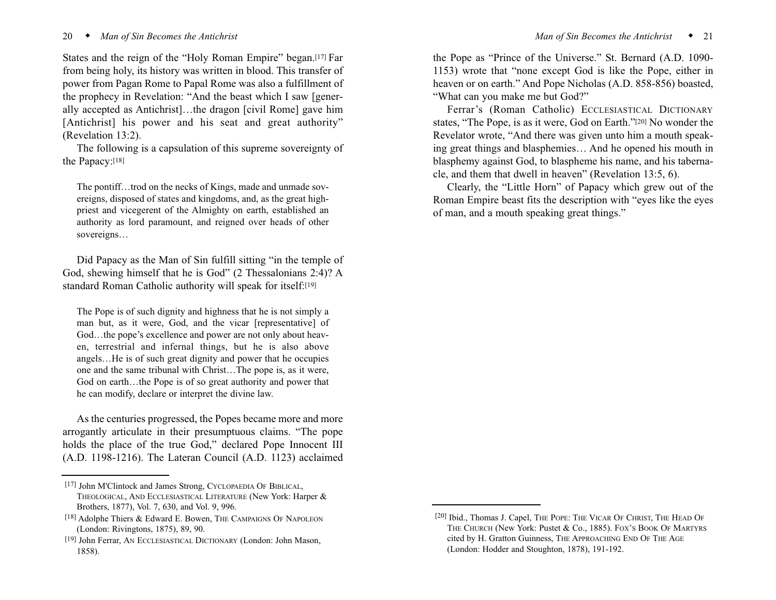#### 20 • Man of Sin Becomes the Antichrist **by** *Man of Sin Becomes the Antichrist*  $\bullet$  21

States and the reign of the "Holy Roman Empire" began.[17] Far from being holy, its history was written in blood. This transfer of power from Pagan Rome to Papal Rome was also a fulfillment of the prophecy in Revelation: "And the beast which I saw [generally accepted as Antichrist]…the dragon [civil Rome] gave him [Antichrist] his power and his seat and great authority" (Revelation 13:2).

The following is a capsulation of this supreme sovereignty of the Papacy:[18]

The pontiff…trod on the necks of Kings, made and unmade sovereigns, disposed of states and kingdoms, and, as the great highpriest and vicegerent of the Almighty on earth, established an authority as lord paramount, and reigned over heads of other sovereigns…

Did Papacy as the Man of Sin fulfill sitting "in the temple of God, shewing himself that he is God" (2 Thessalonians 2:4)? A standard Roman Catholic authority will speak for itself:[19]

The Pope is of such dignity and highness that he is not simply a man but, as it were, God, and the vicar [representative] of God…the pope's excellence and power are not only about heaven, terrestrial and infernal things, but he is also above angels…He is of such great dignity and power that he occupies one and the same tribunal with Christ…The pope is, as it were, God on earth…the Pope is of so great authority and power that he can modify, declare or interpret the divine law.

As the centuries progressed, the Popes became more and more arrogantly articulate in their presumptuous claims. "The pope holds the place of the true God," declared Pope Innocent III (A.D. 1198-1216). The Lateran Council (A.D. 1123) acclaimed

the Pope as "Prince of the Universe." St. Bernard (A.D. 1090- 1153) wrote that "none except God is like the Pope, either in heaven or on earth." And Pope Nicholas (A.D. 858-856) boasted, "What can you make me but God?"

Ferrar's (Roman Catholic) ECCLESIASTICAL DICTIONARY states, "The Pope, is as it were, God on Earth."[20] No wonder the Revelator wrote, "And there was given unto him a mouth speaking great things and blasphemies… And he opened his mouth in blasphemy against God, to blaspheme his name, and his tabernacle, and them that dwell in heaven" (Revelation 13:5, 6).

Clearly, the "Little Horn" of Papacy which grew out of the Roman Empire beast fits the description with "eyes like the eyes of man, and a mouth speaking great things."

<sup>[17]</sup> John M'Clintock and James Strong, CYCLOPAEDIA OF BIBLICAL, THEOLOGICAL, AND ECCLESIASTICAL LITERATURE (New York: Harper & Brothers, 1877), Vol. 7, 630, and Vol. 9, 996.

<sup>[18]</sup> Adolphe Thiers & Edward E. Bowen, THE CAMPAIGNS OF NAPOLEON (London: Rivingtons, 1875), 89, 90.

<sup>[19]</sup> John Ferrar, AN ECCLESIASTICAL DICTIONARY (London: John Mason, 1858).

<sup>[20]</sup> Ibid., Thomas J. Capel, THE POPE: THE VICAR OF CHRIST, THE HEAD OF THE CHURCH (New York: Pustet & Co., 1885). FOX'S BOOK OF MARTYRS cited by H. Gratton Guinness, THE APPROACHING END OF THE AGE (London: Hodder and Stoughton, 1878), 191-192.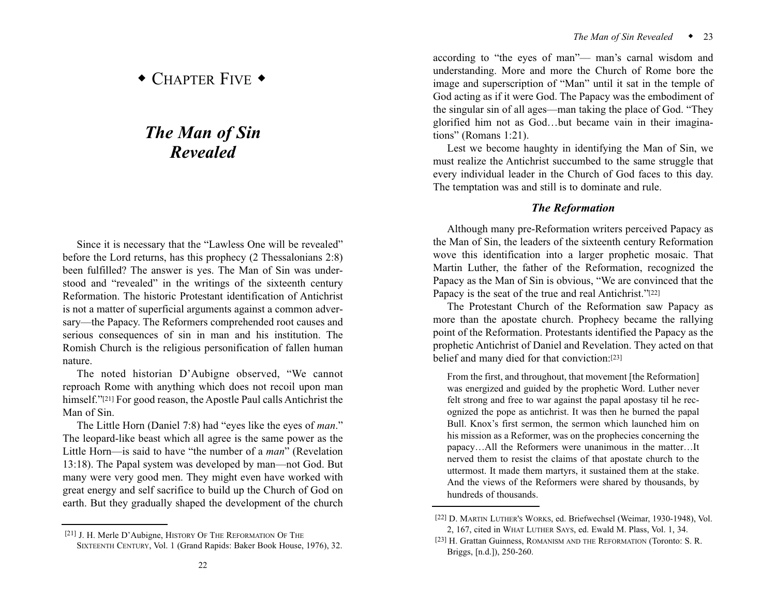# $\bullet$  Chapter Five  $\bullet$

# *The Man of Sin Revealed*

Since it is necessary that the "Lawless One will be revealed" before the Lord returns, has this prophecy (2 Thessalonians 2:8) been fulfilled? The answer is yes. The Man of Sin was understood and "revealed" in the writings of the sixteenth century Reformation. The historic Protestant identification of Antichrist is not a matter of superficial arguments against a common adversary—the Papacy. The Reformers comprehended root causes and serious consequences of sin in man and his institution. The Romish Church is the religious personification of fallen human nature.

The noted historian D'Aubigne observed, "We cannot reproach Rome with anything which does not recoil upon man himself."<sup>[21]</sup> For good reason, the Apostle Paul calls Antichrist the Man of Sin.

The Little Horn (Daniel 7:8) had "eyes like the eyes of *man*." The leopard-like beast which all agree is the same power as the Little Horn—is said to have "the number of a *man*" (Revelation 13:18). The Papal system was developed by man—not God. But many were very good men. They might even have worked with great energy and self sacrifice to build up the Church of God on earth. But they gradually shaped the development of the church according to "the eyes of man"— man's carnal wisdom and understanding. More and more the Church of Rome bore the image and superscription of "Man" until it sat in the temple of God acting as if it were God. The Papacy was the embodiment of the singular sin of all ages—man taking the place of God. "They glorified him not as God…but became vain in their imaginations" (Romans 1:21).

Lest we become haughty in identifying the Man of Sin, we must realize the Antichrist succumbed to the same struggle that every individual leader in the Church of God faces to this day. The temptation was and still is to dominate and rule.

## *The Reformation*

Although many pre-Reformation writers perceived Papacy as the Man of Sin, the leaders of the sixteenth century Reformation wove this identification into a larger prophetic mosaic. That Martin Luther, the father of the Reformation, recognized the Papacy as the Man of Sin is obvious, "We are convinced that the Papacy is the seat of the true and real Antichrist."[22]

The Protestant Church of the Reformation saw Papacy as more than the apostate church. Prophecy became the rallying point of the Reformation. Protestants identified the Papacy as the prophetic Antichrist of Daniel and Revelation. They acted on that belief and many died for that conviction:[23]

From the first, and throughout, that movement [the Reformation] was energized and guided by the prophetic Word. Luther never felt strong and free to war against the papal apostasy til he recognized the pope as antichrist. It was then he burned the papal Bull. Knox's first sermon, the sermon which launched him on his mission as a Reformer, was on the prophecies concerning the papacy…All the Reformers were unanimous in the matter…It nerved them to resist the claims of that apostate church to the uttermost. It made them martyrs, it sustained them at the stake. And the views of the Reformers were shared by thousands, by hundreds of thousands.

<sup>[21]</sup> J. H. Merle D'Aubigne, HISTORY OF THE REFORMATION OF THE SIXTEENTH CENTURY, Vol. 1 (Grand Rapids: Baker Book House, 1976), 32.

<sup>[22]</sup> D. MARTIN LUTHER'S WORKS, ed. Briefwechsel (Weimar, 1930-1948), Vol. 2, 167, cited in WHAT LUTHER SAYS, ed. Ewald M. Plass, Vol. 1, 34.

<sup>[23]</sup> H. Grattan Guinness, ROMANISM AND THE REFORMATION (Toronto: S. R. Briggs, [n.d.]), 250-260.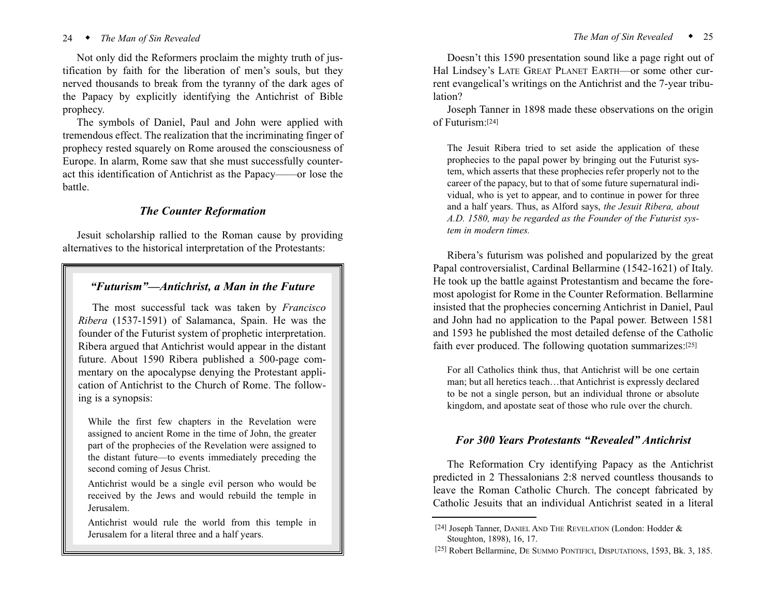Not only did the Reformers proclaim the mighty truth of justification by faith for the liberation of men's souls, but they nerved thousands to break from the tyranny of the dark ages of the Papacy by explicitly identifying the Antichrist of Bible prophecy.

The symbols of Daniel, Paul and John were applied with tremendous effect. The realization that the incriminating finger of prophecy rested squarely on Rome aroused the consciousness of Europe. In alarm, Rome saw that she must successfully counteract this identification of Antichrist as the Papacy——or lose the battle.

## *The Counter Reformation*

Jesuit scholarship rallied to the Roman cause by providing alternatives to the historical interpretation of the Protestants:

## *"Futurism"—Antichrist, a Man in the Future*

The most successful tack was taken by *Francisco Ribera* (1537-1591) of Salamanca, Spain. He was the founder of the Futurist system of prophetic interpretation. Ribera argued that Antichrist would appear in the distant future. About 1590 Ribera published a 500-page commentary on the apocalypse denying the Protestant application of Antichrist to the Church of Rome. The following is a synopsis:

While the first few chapters in the Revelation were assigned to ancient Rome in the time of John, the greater part of the prophecies of the Revelation were assigned to the distant future—to events immediately preceding the second coming of Jesus Christ.

Antichrist would be a single evil person who would be received by the Jews and would rebuild the temple in Jerusalem.

Antichrist would rule the world from this temple in Jerusalem for a literal three and a half years.

Doesn't this 1590 presentation sound like a page right out of Hal Lindsey's LATE GREAT PLANET EARTH—or some other current evangelical's writings on the Antichrist and the 7-year tribulation?

Joseph Tanner in 1898 made these observations on the origin of Futurism:[24]

The Jesuit Ribera tried to set aside the application of these prophecies to the papal power by bringing out the Futurist system, which asserts that these prophecies refer properly not to the career of the papacy, but to that of some future supernatural individual, who is yet to appear, and to continue in power for three and a half years. Thus, as Alford says, *the Jesuit Ribera, about A.D. 1580, may be regarded as the Founder of the Futurist system in modern times.*

Ribera's futurism was polished and popularized by the great Papal controversialist, Cardinal Bellarmine (1542-1621) of Italy. He took up the battle against Protestantism and became the foremost apologist for Rome in the Counter Reformation. Bellarmine insisted that the prophecies concerning Antichrist in Daniel, Paul and John had no application to the Papal power. Between 1581 and 1593 he published the most detailed defense of the Catholic faith ever produced. The following quotation summarizes:[25]

For all Catholics think thus, that Antichrist will be one certain man; but all heretics teach…that Antichrist is expressly declared to be not a single person, but an individual throne or absolute kingdom, and apostate seat of those who rule over the church.

## *For 300 Years Protestants "Revealed" Antichrist*

The Reformation Cry identifying Papacy as the Antichrist predicted in 2 Thessalonians 2:8 nerved countless thousands to leave the Roman Catholic Church. The concept fabricated by Catholic Jesuits that an individual Antichrist seated in a literal

 $^{[24]}$  Joseph Tanner, DANIEL AND THE REVELATION (London: Hodder & Stoughton, 1898), 16, 17.

<sup>[25]</sup> Robert Bellarmine, DE SUMMO PONTIFICI, DISPUTATIONS, 1593, Bk. 3, 185.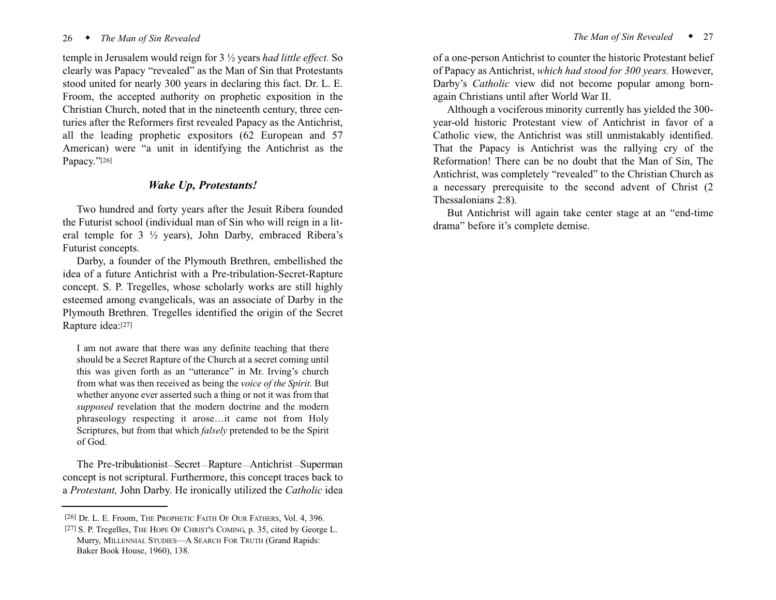temple in Jerusalem would reign for 3 ½ years *had little effect.* So clearly was Papacy "revealed" as the Man of Sin that Protestants stood united for nearly 300 years in declaring this fact. Dr. L. E. Froom, the accepted authority on prophetic exposition in the Christian Church, noted that in the nineteenth century, three centuries after the Reformers first revealed Papacy as the Antichrist, all the leading prophetic expositors (62 European and 57 American) were "a unit in identifying the Antichrist as the Papacy."[26]

## *Wake Up, Protestants!*

Two hundred and forty years after the Jesuit Ribera founded the Futurist school (individual man of Sin who will reign in a literal temple for 3 ½ years), John Darby, embraced Ribera's Futurist concepts.

Darby, a founder of the Plymouth Brethren, embellished the idea of a future Antichrist with a Pre-tribulation-Secret-Rapture concept. S. P. Tregelles, whose scholarly works are still highly esteemed among evangelicals, was an associate of Darby in the Plymouth Brethren. Tregelles identified the origin of the Secret Rapture idea:[27]

I am not aware that there was any definite teaching that there should be a Secret Rapture of the Church at a secret coming until this was given forth as an "utterance" in Mr. Irving's church from what was then received as being the *voice of the Spirit.* But whether anyone ever asserted such a thing or not it was from that *supposed* revelation that the modern doctrine and the modern phraseology respecting it arose…it came not from Holy Scriptures, but from that which *falsely* pretended to be the Spirit of God.

The Pre-tribulationist—Secret—Rapture—Antichrist—Superman concept is not scriptural. Furthermore, this concept traces back to <sup>a</sup>*Protestant,* John Darby. He ironically utilized the *Catholic* idea of a one-person Antichrist to counter the historic Protestant belief of Papacy as Antichrist, *which had stood for 300 years.* However, Darby's *Catholic* view did not become popular among bornagain Christians until after World War II.

Although a vociferous minority currently has yielded the 300 year-old historic Protestant view of Antichrist in favor of a Catholic view, the Antichrist was still unmistakably identified. That the Papacy is Antichrist was the rallying cry of the Reformation! There can be no doubt that the Man of Sin, The Antichrist, was completely "revealed" to the Christian Church as a necessary prerequisite to the second advent of Christ (2 Thessalonians 2:8).

But Antichrist will again take center stage at an "end-time drama" before it's complete demise.

<sup>[26]</sup> Dr. L. E. Froom, THE PROPHETIC FAITH OF OUR FATHERS, Vol. 4, 396.

<sup>[27]</sup> S. P. Tregelles, THE HOPE OF CHRIST'S COMING, p. 35, cited by George L. Murry, MILLENNIAL STUDIES—A SEARCH FOR TRUTH (Grand Rapids: Baker Book House, 1960), 138.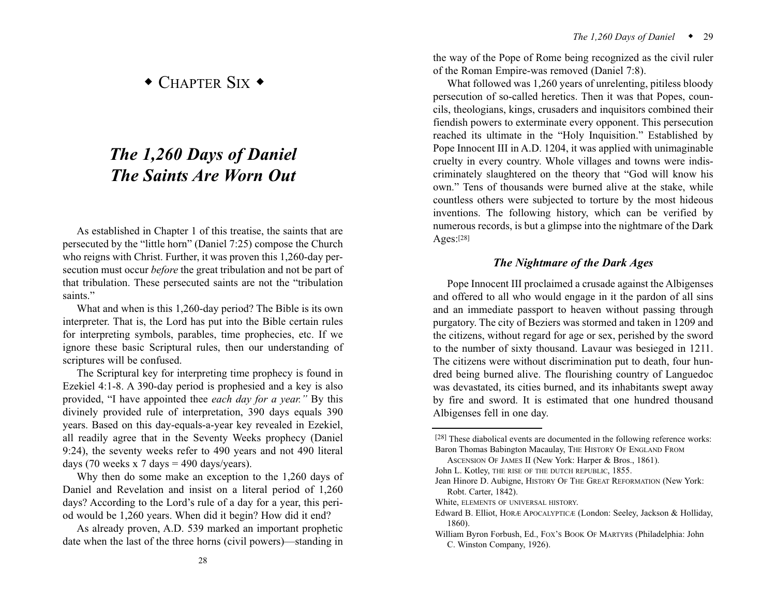# $\bullet$  Chapter Six  $\bullet$

# *The 1,260 Days of Daniel The Saints Are Worn Out*

As established in Chapter 1 of this treatise, the saints that are persecuted by the "little horn" (Daniel 7:25) compose the Church who reigns with Christ. Further, it was proven this 1,260-day persecution must occur *before* the great tribulation and not be part of that tribulation. These persecuted saints are not the "tribulation saints."

What and when is this 1,260-day period? The Bible is its own interpreter. That is, the Lord has put into the Bible certain rules for interpreting symbols, parables, time prophecies, etc. If we ignore these basic Scriptural rules, then our understanding of scriptures will be confused.

The Scriptural key for interpreting time prophecy is found in Ezekiel 4:1-8. A 390-day period is prophesied and a key is also provided, "I have appointed thee *each day for a year."* By this divinely provided rule of interpretation, 390 days equals 390 years. Based on this day-equals-a-year key revealed in Ezekiel, all readily agree that in the Seventy Weeks prophecy (Daniel 9:24), the seventy weeks refer to 490 years and not 490 literal days (70 weeks x 7 days = 490 days/years).

Why then do some make an exception to the 1,260 days of Daniel and Revelation and insist on a literal period of 1,260 days? According to the Lord's rule of a day for a year, this period would be 1,260 years. When did it begin? How did it end?

As already proven, A.D. 539 marked an important prophetic date when the last of the three horns (civil powers)—standing in the way of the Pope of Rome being recognized as the civil ruler of the Roman Empire-was removed (Daniel 7:8).

What followed was 1,260 years of unrelenting, pitiless bloody persecution of so-called heretics. Then it was that Popes, councils, theologians, kings, crusaders and inquisitors combined their fiendish powers to exterminate every opponent. This persecution reached its ultimate in the "Holy Inquisition." Established by Pope Innocent III in A.D. 1204, it was applied with unimaginable cruelty in every country. Whole villages and towns were indiscriminately slaughtered on the theory that "God will know his own." Tens of thousands were burned alive at the stake, while countless others were subjected to torture by the most hideous inventions. The following history, which can be verified by numerous records, is but a glimpse into the nightmare of the Dark Ages:[28]

## *The Nightmare of the Dark Ages*

Pope Innocent III proclaimed a crusade against the Albigenses and offered to all who would engage in it the pardon of all sins and an immediate passport to heaven without passing through purgatory. The city of Beziers was stormed and taken in 1209 and the citizens, without regard for age or sex, perished by the sword to the number of sixty thousand. Lavaur was besieged in 1211. The citizens were without discrimination put to death, four hundred being burned alive. The flourishing country of Languedoc was devastated, its cities burned, and its inhabitants swept away by fire and sword. It is estimated that one hundred thousand Albigenses fell in one day.

<sup>[28]</sup> These diabolical events are documented in the following reference works: Baron Thomas Babington Macaulay, THE HISTORY OF ENGLAND FROM

ASCENSION OF JAMES II (New York: Harper & Bros., 1861).

John L. Kotley, THE RISE OF THE DUTCH REPUBLIC, 1855.

Jean Hinore D. Aubigne, HISTORY OF THE GREAT REFORMATION (New York: Robt. Carter, 1842).

White, ELEMENTS OF UNIVERSAL HISTORY.

Edward B. Elliot, HORÆ APOCALYPTICÆ (London: Seeley, Jackson & Holliday, 1860).

William Byron Forbush, Ed., FOX'S BOOK OF MARTYRS (Philadelphia: John C. Winston Company, 1926).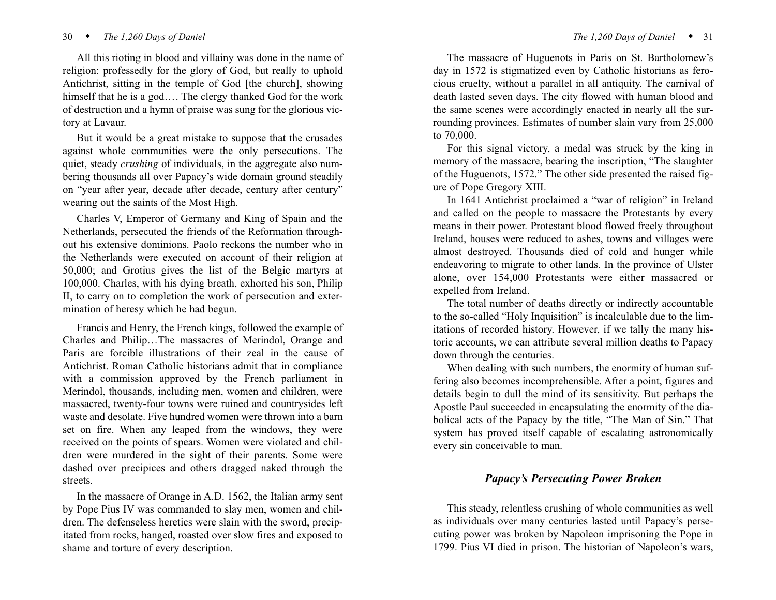#### 30 <sup>w</sup> *The 1,260 Days of Daniel The 1,260 Days of Daniel* <sup>w</sup> 31

All this rioting in blood and villainy was done in the name of religion: professedly for the glory of God, but really to uphold Antichrist, sitting in the temple of God [the church], showing himself that he is a god…. The clergy thanked God for the work of destruction and a hymn of praise was sung for the glorious victory at Lavaur.

But it would be a great mistake to suppose that the crusades against whole communities were the only persecutions. The quiet, steady *crushing* of individuals, in the aggregate also numbering thousands all over Papacy's wide domain ground steadily on "year after year, decade after decade, century after century" wearing out the saints of the Most High.

Charles V, Emperor of Germany and King of Spain and the Netherlands, persecuted the friends of the Reformation throughout his extensive dominions. Paolo reckons the number who in the Netherlands were executed on account of their religion at 50,000; and Grotius gives the list of the Belgic martyrs at 100,000. Charles, with his dying breath, exhorted his son, Philip II, to carry on to completion the work of persecution and extermination of heresy which he had begun.

Francis and Henry, the French kings, followed the example of Charles and Philip…The massacres of Merindol, Orange and Paris are forcible illustrations of their zeal in the cause of Antichrist. Roman Catholic historians admit that in compliance with a commission approved by the French parliament in Merindol, thousands, including men, women and children, were massacred, twenty-four towns were ruined and countrysides left waste and desolate. Five hundred women were thrown into a barn set on fire. When any leaped from the windows, they were received on the points of spears. Women were violated and children were murdered in the sight of their parents. Some were dashed over precipices and others dragged naked through the streets.

In the massacre of Orange in A.D. 1562, the Italian army sent by Pope Pius IV was commanded to slay men, women and children. The defenseless heretics were slain with the sword, precipitated from rocks, hanged, roasted over slow fires and exposed to shame and torture of every description.

The massacre of Huguenots in Paris on St. Bartholomew's day in 1572 is stigmatized even by Catholic historians as ferocious cruelty, without a parallel in all antiquity. The carnival of death lasted seven days. The city flowed with human blood and the same scenes were accordingly enacted in nearly all the surrounding provinces. Estimates of number slain vary from 25,000 to 70,000.

For this signal victory, a medal was struck by the king in memory of the massacre, bearing the inscription, "The slaughter of the Huguenots, 1572." The other side presented the raised figure of Pope Gregory XIII.

In 1641 Antichrist proclaimed a "war of religion" in Ireland and called on the people to massacre the Protestants by every means in their power. Protestant blood flowed freely throughout Ireland, houses were reduced to ashes, towns and villages were almost destroyed. Thousands died of cold and hunger while endeavoring to migrate to other lands. In the province of Ulster alone, over 154,000 Protestants were either massacred or expelled from Ireland.

The total number of deaths directly or indirectly accountable to the so-called "Holy Inquisition" is incalculable due to the limitations of recorded history. However, if we tally the many historic accounts, we can attribute several million deaths to Papacy down through the centuries.

When dealing with such numbers, the enormity of human suffering also becomes incomprehensible. After a point, figures and details begin to dull the mind of its sensitivity. But perhaps the Apostle Paul succeeded in encapsulating the enormity of the diabolical acts of the Papacy by the title, "The Man of Sin." That system has proved itself capable of escalating astronomically every sin conceivable to man.

#### *Papacy's Persecuting Power Broken*

This steady, relentless crushing of whole communities as well as individuals over many centuries lasted until Papacy's persecuting power was broken by Napoleon imprisoning the Pope in 1799. Pius VI died in prison. The historian of Napoleon's wars,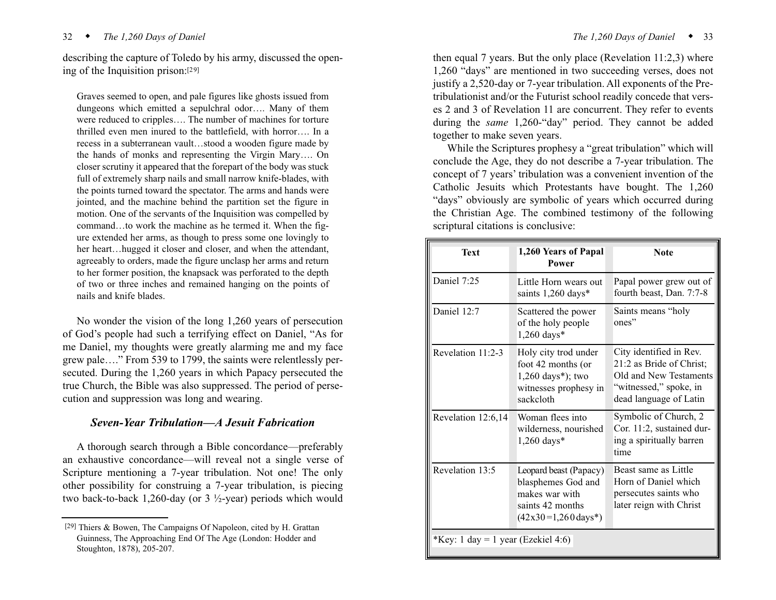describing the capture of Toledo by his army, discussed the opening of the Inquisition prison:[29]

Graves seemed to open, and pale figures like ghosts issued from dungeons which emitted a sepulchral odor…. Many of them were reduced to cripples…. The number of machines for torture thrilled even men inured to the battlefield, with horror…. In a recess in a subterranean vault…stood a wooden figure made by the hands of monks and representing the Virgin Mary…. On closer scrutiny it appeared that the forepart of the body was stuck full of extremely sharp nails and small narrow knife-blades, with the points turned toward the spectator. The arms and hands were jointed, and the machine behind the partition set the figure in motion. One of the servants of the Inquisition was compelled by command…to work the machine as he termed it. When the figure extended her arms, as though to press some one lovingly to her heart...hugged it closer and closer, and when the attendant, agreeably to orders, made the figure unclasp her arms and return to her former position, the knapsack was perforated to the depth of two or three inches and remained hanging on the points of nails and knife blades.

No wonder the vision of the long 1,260 years of persecution of God's people had such a terrifying effect on Daniel, "As for me Daniel, my thoughts were greatly alarming me and my face grew pale…." From 539 to 1799, the saints were relentlessly persecuted. During the 1,260 years in which Papacy persecuted the true Church, the Bible was also suppressed. The period of persecution and suppression was long and wearing.

## *Seven-Year Tribulation—A Jesuit Fabrication*

A thorough search through a Bible concordance—preferably an exhaustive concordance—will reveal not a single verse of Scripture mentioning a 7-year tribulation. Not one! The only other possibility for construing a 7-year tribulation, is piecing two back-to-back 1,260-day (or 3 ½-year) periods which would then equal 7 years. But the only place (Revelation 11:2,3) where 1,260 "days" are mentioned in two succeeding verses, does not justify a 2,520-day or 7-year tribulation. All exponents of the Pretribulationist and/or the Futurist school readily concede that verses 2 and 3 of Revelation 11 are concurrent. They refer to events during the *same* 1,260-"day" period. They cannot be added together to make seven years.

While the Scriptures prophesy a "great tribulation" which will conclude the Age, they do not describe a 7-year tribulation. The concept of 7 years' tribulation was a convenient invention of the Catholic Jesuits which Protestants have bought. The 1,260 "days" obviously are symbolic of years which occurred during the Christian Age. The combined testimony of the following scriptural citations is conclusive:

| <b>Text</b>                        | 1,260 Years of Papal<br><b>Power</b>                                                                                | <b>Note</b>                                                                                                                       |  |  |  |
|------------------------------------|---------------------------------------------------------------------------------------------------------------------|-----------------------------------------------------------------------------------------------------------------------------------|--|--|--|
| Daniel 7:25                        | Little Horn wears out<br>saints 1,260 days*                                                                         | Papal power grew out of<br>fourth beast, Dan. 7:7-8                                                                               |  |  |  |
| Daniel 12:7                        | Scattered the power<br>of the holy people<br>1,260 days*                                                            | Saints means "holy<br>ones"                                                                                                       |  |  |  |
| Revelation 11:2-3                  | Holy city trod under<br>foot 42 months (or<br>$1,260 \text{ days*}$ ); two<br>witnesses prophesy in<br>sackcloth    | City identified in Rev.<br>21:2 as Bride of Christ;<br>Old and New Testaments<br>"witnessed," spoke, in<br>dead language of Latin |  |  |  |
| Revelation 12:6,14                 | Woman flees into<br>wilderness, nourished<br>$1,260$ days*                                                          | Symbolic of Church, 2<br>Cor. 11:2, sustained dur-<br>ing a spiritually barren<br>time                                            |  |  |  |
| Revelation 13:5                    | Leopard beast (Papacy)<br>blasphemes God and<br>makes war with<br>saints 42 months<br>$(42x30=1,260 \text{ days*})$ | Beast same as Little<br>Horn of Daniel which<br>persecutes saints who<br>later reign with Christ                                  |  |  |  |
| *Key: 1 day = 1 year (Ezekiel 4:6) |                                                                                                                     |                                                                                                                                   |  |  |  |

<sup>[29]</sup> Thiers & Bowen, The Campaigns Of Napoleon, cited by H. Grattan Guinness, The Approaching End Of The Age (London: Hodder and Stoughton, 1878), 205-207.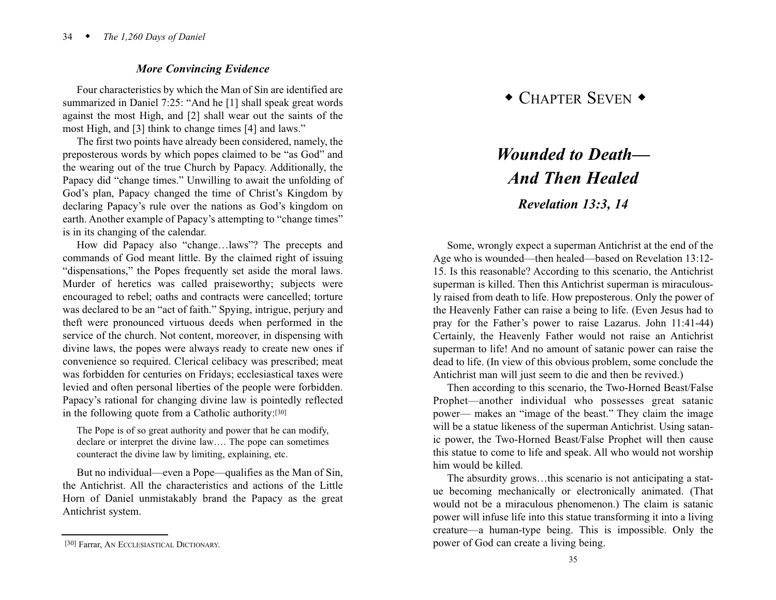## *More Convincing Evidence*

Four characteristics by which the Man of Sin are identified are summarized in Daniel 7:25: "And he [1] shall speak great words against the most High, and [2] shall wear out the saints of the most High, and [3] think to change times [4] and laws."

The first two points have already been considered, namely, the preposterous words by which popes claimed to be "as God" and the wearing out of the true Church by Papacy. Additionally, the Papacy did "change times." Unwilling to await the unfolding of God's plan, Papacy changed the time of Christ's Kingdom by declaring Papacy's rule over the nations as God's kingdom on earth. Another example of Papacy's attempting to "change times" is in its changing of the calendar.

How did Papacy also "change…laws"? The precepts and commands of God meant little. By the claimed right of issuing "dispensations," the Popes frequently set aside the moral laws. Murder of heretics was called praiseworthy; subjects were encouraged to rebel; oaths and contracts were cancelled; torture was declared to be an "act of faith." Spying, intrigue, perjury and theft were pronounced virtuous deeds when performed in the service of the church. Not content, moreover, in dispensing with divine laws, the popes were always ready to create new ones if convenience so required. Clerical celibacy was prescribed; meat was forbidden for centuries on Fridays; ecclesiastical taxes were levied and often personal liberties of the people were forbidden. Papacy's rational for changing divine law is pointedly reflected in the following quote from a Catholic authority:[30]

The Pope is of so great authority and power that he can modify, declare or interpret the divine law…. The pope can sometimes counteract the divine law by limiting, explaining, etc.

But no individual—even a Pope—qualifies as the Man of Sin, the Antichrist. All the characteristics and actions of the Little Horn of Daniel unmistakably brand the Papacy as the great Antichrist system.

# $\bullet$  CHAPTER SEVEN  $\bullet$

# *Wounded to Death— And Then Healed*

# *Revelation 13:3, 14*

Some, wrongly expect a superman Antichrist at the end of the Age who is wounded—then healed—based on Revelation 13:12- 15. Is this reasonable? According to this scenario, the Antichrist superman is killed. Then this Antichrist superman is miraculously raised from death to life. How preposterous. Only the power of the Heavenly Father can raise a being to life. (Even Jesus had to pray for the Father's power to raise Lazarus. John 11:41-44) Certainly, the Heavenly Father would not raise an Antichrist superman to life! And no amount of satanic power can raise the dead to life. (In view of this obvious problem, some conclude the Antichrist man will just seem to die and then be revived.)

Then according to this scenario, the Two-Horned Beast/False Prophet—another individual who possesses great satanic power— makes an "image of the beast." They claim the image will be a statue likeness of the superman Antichrist. Using satanic power, the Two-Horned Beast/False Prophet will then cause this statue to come to life and speak. All who would not worship him would be killed.

The absurdity grows…this scenario is not anticipating a statue becoming mechanically or electronically animated. (That would not be a miraculous phenomenon.) The claim is satanic power will infuse life into this statue transforming it into a living creature—a human-type being. This is impossible. Only the power of God can create a living being.

<sup>[30]</sup> Farrar, AN ECCLESIASTICAL DICTIONARY.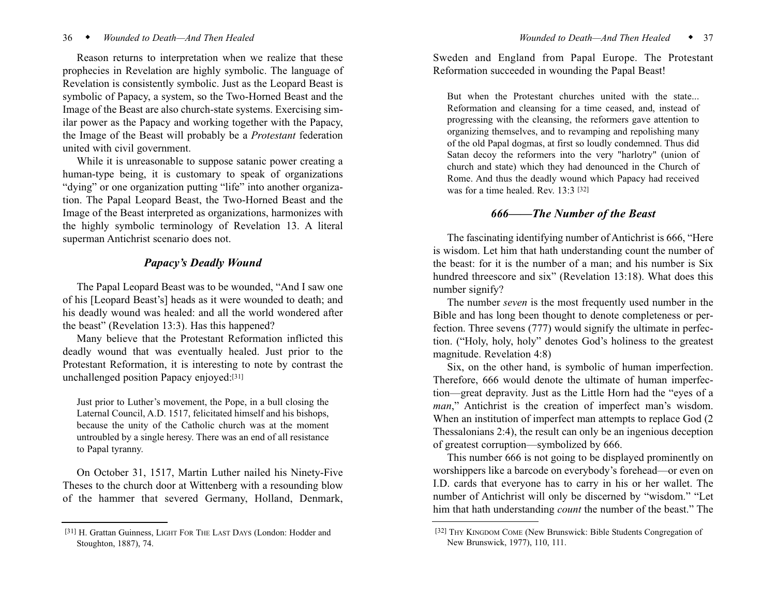#### 36 <sup>w</sup> *Wounded to Death—And Then Healed*

Reason returns to interpretation when we realize that these prophecies in Revelation are highly symbolic. The language of Revelation is consistently symbolic. Just as the Leopard Beast is symbolic of Papacy, a system, so the Two-Horned Beast and the Image of the Beast are also church-state systems. Exercising similar power as the Papacy and working together with the Papacy, the Image of the Beast will probably be a *Protestant* federation united with civil government.

While it is unreasonable to suppose satanic power creating a human-type being, it is customary to speak of organizations "dying" or one organization putting "life" into another organization. The Papal Leopard Beast, the Two-Horned Beast and the Image of the Beast interpreted as organizations, harmonizes with the highly symbolic terminology of Revelation 13. A literal superman Antichrist scenario does not.

### *Papacy's Deadly Wound*

The Papal Leopard Beast was to be wounded, "And I saw one of his [Leopard Beast's] heads as it were wounded to death; and his deadly wound was healed: and all the world wondered after the beast" (Revelation 13:3). Has this happened?

Many believe that the Protestant Reformation inflicted this deadly wound that was eventually healed. Just prior to the Protestant Reformation, it is interesting to note by contrast the unchallenged position Papacy enjoyed:[31]

Just prior to Luther's movement, the Pope, in a bull closing the Laternal Council, A.D. 1517, felicitated himself and his bishops, because the unity of the Catholic church was at the moment untroubled by a single heresy. There was an end of all resistance to Papal tyranny.

On October 31, 1517, Martin Luther nailed his Ninety-Five Theses to the church door at Wittenberg with a resounding blow of the hammer that severed Germany, Holland, Denmark, Sweden and England from Papal Europe. The Protestant Reformation succeeded in wounding the Papal Beast!

But when the Protestant churches united with the state... Reformation and cleansing for a time ceased, and, instead of progressing with the cleansing, the reformers gave attention to organizing themselves, and to revamping and repolishing many of the old Papal dogmas, at first so loudly condemned. Thus did Satan decoy the reformers into the very "harlotry" (union of church and state) which they had denounced in the Church of Rome. And thus the deadly wound which Papacy had received was for a time healed. Rev. 13:3 [32]

### *666——The Number of the Beast*

The fascinating identifying number of Antichrist is 666, "Here is wisdom. Let him that hath understanding count the number of the beast: for it is the number of a man; and his number is Six hundred threescore and six" (Revelation 13:18). What does this number signify?

The number *seven* is the most frequently used number in the Bible and has long been thought to denote completeness or perfection. Three sevens (777) would signify the ultimate in perfection. ("Holy, holy, holy" denotes God's holiness to the greatest magnitude. Revelation 4:8)

Six, on the other hand, is symbolic of human imperfection. Therefore, 666 would denote the ultimate of human imperfection—great depravity. Just as the Little Horn had the "eyes of a *man*," Antichrist is the creation of imperfect man's wisdom. When an institution of imperfect man attempts to replace God (2 Thessalonians 2:4), the result can only be an ingenious deception of greatest corruption—symbolized by 666.

This number 666 is not going to be displayed prominently on worshippers like a barcode on everybody's forehead—or even on I.D. cards that everyone has to carry in his or her wallet. The number of Antichrist will only be discerned by "wisdom." "Let him that hath understanding *count* the number of the beast." The

<sup>[31]</sup> H. Grattan Guinness, LIGHT FOR THE LAST DAYS (London: Hodder and Stoughton, 1887), 74.

<sup>[32]</sup> THY KINGDOM COME (New Brunswick: Bible Students Congregation of New Brunswick, 1977), 110, 111.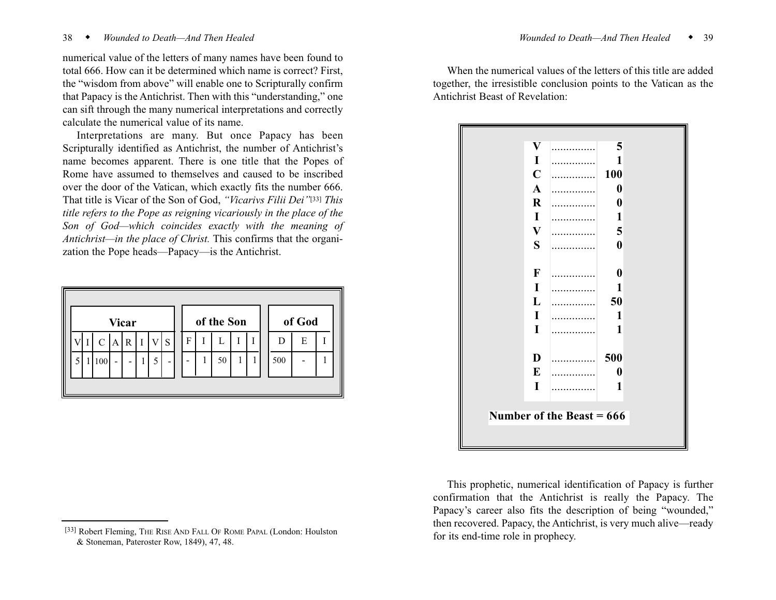numerical value of the letters of many names have been found to total 666. How can it be determined which name is correct? First, the "wisdom from above" will enable one to Scripturally confirm that Papacy is the Antichrist. Then with this "understanding," one can sift through the many numerical interpretations and correctly calculate the numerical value of its name.

Interpretations are many. But once Papacy has been Scripturally identified as Antichrist, the number of Antichrist's name becomes apparent. There is one title that the Popes of Rome have assumed to themselves and caused to be inscribed over the door of the Vatican, which exactly fits the number 666. That title is Vicar of the Son of God, *"Vicarivs Filii Dei"*[33] *This title refers to the Pope as reigning vicariously in the place of the Son of God—which coincides exactly with the meaning of Antichrist—in the place of Christ.* This confirms that the organization the Pope heads—Papacy—is the Antichrist.

|  |     |   | <b>Vicar</b> |   |   |   | of the Son |  |     | of God |  |
|--|-----|---|--------------|---|---|---|------------|--|-----|--------|--|
|  | C   | А | R            |   | S | F |            |  | D   | E      |  |
|  | 100 | - |              | 5 |   | - | 50         |  | 500 |        |  |
|  |     |   |              |   |   |   |            |  |     |        |  |

When the numerical values of the letters of this title are added together, the irresistible conclusion points to the Vatican as the Antichrist Beast of Revelation:



This prophetic, numerical identification of Papacy is further confirmation that the Antichrist is really the Papacy. The Papacy's career also fits the description of being "wounded," then recovered. Papacy, the Antichrist, is very much alive—ready for its end-time role in prophecy.

<sup>[33]</sup> Robert Fleming, THE RISE AND FALL OF ROME PAPAL (London: Houlston & Stoneman, Pateroster Row, 1849), 47, 48.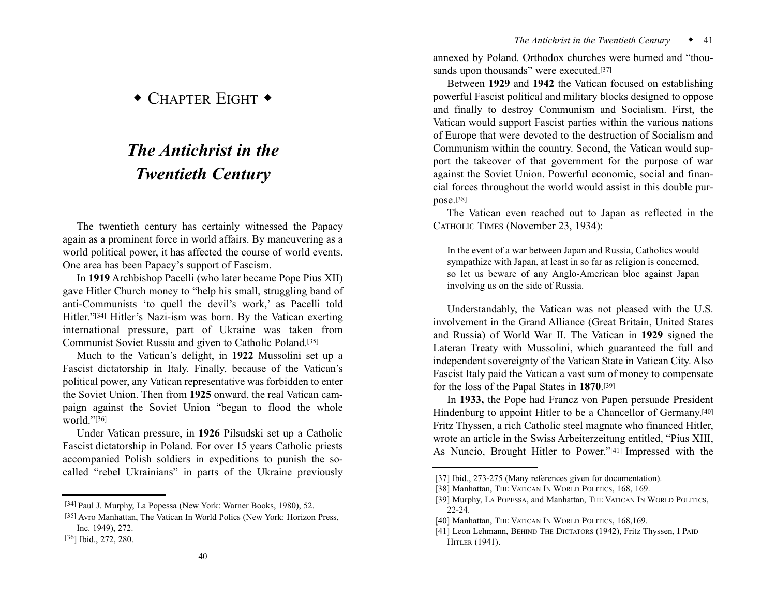# $\bullet$  Chapter Eight  $\bullet$

# *The Antichrist in the Twentieth Century*

The twentieth century has certainly witnessed the Papacy again as a prominent force in world affairs. By maneuvering as a world political power, it has affected the course of world events. One area has been Papacy's support of Fascism.

In **1919** Archbishop Pacelli (who later became Pope Pius XII) gave Hitler Church money to "help his small, struggling band of anti-Communists 'to quell the devil's work,' as Pacelli told Hitler."<sup>[34]</sup> Hitler's Nazi-ism was born. By the Vatican exerting international pressure, part of Ukraine was taken from Communist Soviet Russia and given to Catholic Poland.[35]

Much to the Vatican's delight, in **1922** Mussolini set up a Fascist dictatorship in Italy. Finally, because of the Vatican's political power, any Vatican representative was forbidden to enter the Soviet Union. Then from **1925** onward, the real Vatican campaign against the Soviet Union "began to flood the whole world."[36]

Under Vatican pressure, in **1926** Pilsudski set up a Catholic Fascist dictatorship in Poland. For over 15 years Catholic priests accompanied Polish soldiers in expeditions to punish the socalled "rebel Ukrainians" in parts of the Ukraine previously annexed by Poland. Orthodox churches were burned and "thousands upon thousands" were executed.<sup>[37]</sup>

Between **1929** and **1942** the Vatican focused on establishing powerful Fascist political and military blocks designed to oppose and finally to destroy Communism and Socialism. First, the Vatican would support Fascist parties within the various nations of Europe that were devoted to the destruction of Socialism and Communism within the country. Second, the Vatican would support the takeover of that government for the purpose of war against the Soviet Union. Powerful economic, social and financial forces throughout the world would assist in this double purpose.[38]

The Vatican even reached out to Japan as reflected in the CATHOLIC TIMES (November 23, 1934):

In the event of a war between Japan and Russia, Catholics would sympathize with Japan, at least in so far as religion is concerned, so let us beware of any Anglo-American bloc against Japan involving us on the side of Russia.

Understandably, the Vatican was not pleased with the U.S. involvement in the Grand Alliance (Great Britain, United States and Russia) of World War II. The Vatican in **1929** signed the Lateran Treaty with Mussolini, which guaranteed the full and independent sovereignty of the Vatican State in Vatican City. Also Fascist Italy paid the Vatican a vast sum of money to compensate for the loss of the Papal States in **1870**.[39]

In **1933,** the Pope had Francz von Papen persuade President Hindenburg to appoint Hitler to be a Chancellor of Germany.[40] Fritz Thyssen, a rich Catholic steel magnate who financed Hitler, wrote an article in the Swiss Arbeiterzeitung entitled, "Pius XIII, As Nuncio, Brought Hitler to Power."[41] Impressed with the

<sup>[34]</sup> Paul J. Murphy, La Popessa (New York: Warner Books, 1980), 52.

<sup>[35]</sup> Avro Manhattan, The Vatican In World Polics (New York: Horizon Press, Inc. 1949), 272.

<sup>[36]</sup> Ibid., 272, 280.

<sup>[37]</sup> Ibid., 273-275 (Many references given for documentation).

<sup>[38]</sup> Manhattan, THE VATICAN IN WORLD POLITICS, 168, 169.

<sup>[39]</sup> Murphy, L A POPESSA, and Manhattan, THE VATICAN IN WORLD POLITICS, 22-24.

<sup>[40]</sup> Manhattan, THE VATICAN IN WORLD POLITICS, 168,169.

<sup>[41]</sup> Leon Lehmann, BEHIND THE DICTATORS (1942), Fritz Thyssen, I PAID HITLER (1941).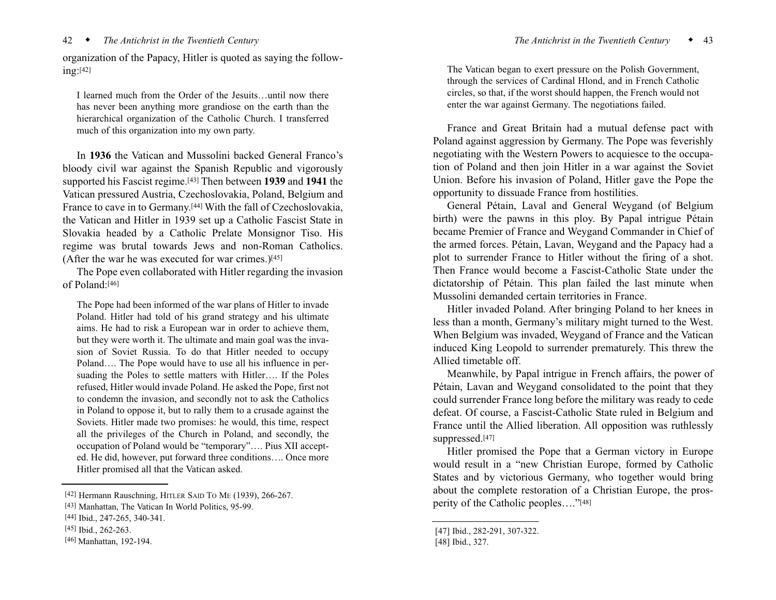#### 42 <sup>w</sup> *The Antichrist in the Twentieth Century*

organization of the Papacy, Hitler is quoted as saying the following:[42]

I learned much from the Order of the Jesuits…until now there has never been anything more grandiose on the earth than the hierarchical organization of the Catholic Church. I transferred much of this organization into my own party.

In **1936** the Vatican and Mussolini backed General Franco's bloody civil war against the Spanish Republic and vigorously supported his Fascist regime.[43] Then between **1939** and **1941** the Vatican pressured Austria, Czechoslovakia, Poland, Belgium and France to cave in to Germany.[44] With the fall of Czechoslovakia, the Vatican and Hitler in 1939 set up a Catholic Fascist State in Slovakia headed by a Catholic Prelate Monsignor Tiso. His regime was brutal towards Jews and non-Roman Catholics. (After the war he was executed for war crimes.)[45]

The Pope even collaborated with Hitler regarding the invasion of Poland:[46]

The Pope had been informed of the war plans of Hitler to invade Poland. Hitler had told of his grand strategy and his ultimate aims. He had to risk a European war in order to achieve them, but they were worth it. The ultimate and main goal was the invasion of Soviet Russia. To do that Hitler needed to occupy Poland…. The Pope would have to use all his influence in persuading the Poles to settle matters with Hitler…. If the Poles refused, Hitler would invade Poland. He asked the Pope, first not to condemn the invasion, and secondly not to ask the Catholics in Poland to oppose it, but to rally them to a crusade against the Soviets. Hitler made two promises: he would, this time, respect all the privileges of the Church in Poland, and secondly, the occupation of Poland would be "temporary"…. Pius XII accepted. He did, however, put forward three conditions…. Once more Hitler promised all that the Vatican asked.

The Vatican began to exert pressure on the Polish Government, through the services of Cardinal Hlond, and in French Catholic circles, so that, if the worst should happen, the French would not enter the war against Germany. The negotiations failed.

France and Great Britain had a mutual defense pact with Poland against aggression by Germany. The Pope was feverishly negotiating with the Western Powers to acquiesce to the occupation of Poland and then join Hitler in a war against the Soviet Union. Before his invasion of Poland, Hitler gave the Pope the opportunity to dissuade France from hostilities.

General Pétain, Laval and General Weygand (of Belgium birth) were the pawns in this ploy. By Papal intrigue Pétain became Premier of France and Weygand Commander in Chief of the armed forces. Pétain, Lavan, Weygand and the Papacy had a plot to surrender France to Hitler without the firing of a shot. Then France would become a Fascist-Catholic State under the dictatorship of Pétain. This plan failed the last minute when Mussolini demanded certain territories in France.

Hitler invaded Poland. After bringing Poland to her knees in less than a month, Germany's military might turned to the West. When Belgium was invaded, Weygand of France and the Vatican induced King Leopold to surrender prematurely. This threw the Allied timetable off.

Meanwhile, by Papal intrigue in French affairs, the power of Pétain, Lavan and Weygand consolidated to the point that they could surrender France long before the military was ready to cede defeat. Of course, a Fascist-Catholic State ruled in Belgium and France until the Allied liberation. All opposition was ruthlessly suppressed.[47]

Hitler promised the Pope that a German victory in Europe would result in a "new Christian Europe, formed by Catholic States and by victorious Germany, who together would bring about the complete restoration of a Christian Europe, the prosperity of the Catholic peoples…."[48]

<sup>[42]</sup> Hermann Rauschning, HITLER SAID TO ME (1939), 266-267.

<sup>[43]</sup> Manhattan, The Vatican In World Politics, 95-99.

<sup>[44]</sup> Ibid., 247-265, 340-341.

<sup>[45]</sup> Ibid., 262-263.

<sup>[46]</sup> Manhattan, 192-194.

<sup>[47]</sup> Ibid., 282-291, 307-322.

<sup>[48]</sup> Ibid., 327.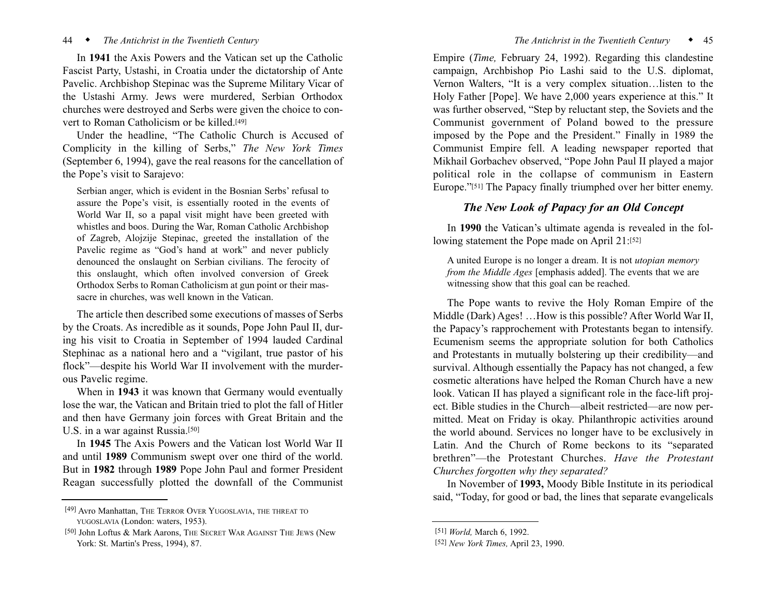#### 44 <sup>w</sup> *The Antichrist in the Twentieth Century*

In **1941** the Axis Powers and the Vatican set up the Catholic Fascist Party, Ustashi, in Croatia under the dictatorship of Ante Pavelic. Archbishop Stepinac was the Supreme Military Vicar of the Ustashi Army. Jews were murdered, Serbian Orthodox churches were destroyed and Serbs were given the choice to convert to Roman Catholicism or be killed.[49]

Under the headline, "The Catholic Church is Accused of Complicity in the killing of Serbs," *The New York Times* (September 6, 1994), gave the real reasons for the cancellation of the Pope's visit to Sarajevo:

Serbian anger, which is evident in the Bosnian Serbs' refusal to assure the Pope's visit, is essentially rooted in the events of World War II, so a papal visit might have been greeted with whistles and boos. During the War, Roman Catholic Archbishop of Zagreb, Alojzije Stepinac, greeted the installation of the Pavelic regime as "God's hand at work" and never publicly denounced the onslaught on Serbian civilians. The ferocity of this onslaught, which often involved conversion of Greek Orthodox Serbs to Roman Catholicism at gun point or their massacre in churches, was well known in the Vatican.

The article then described some executions of masses of Serbs by the Croats. As incredible as it sounds, Pope John Paul II, during his visit to Croatia in September of 1994 lauded Cardinal Stephinac as a national hero and a "vigilant, true pastor of his flock"—despite his World War II involvement with the murderous Pavelic regime.

When in **1943** it was known that Germany would eventually lose the war, the Vatican and Britain tried to plot the fall of Hitler and then have Germany join forces with Great Britain and the U.S. in a war against Russia.<sup>[50]</sup>

In **1945** The Axis Powers and the Vatican lost World War II and until **1989** Communism swept over one third of the world. But in **1982** through **1989** Pope John Paul and former President Reagan successfully plotted the downfall of the Communist Empire (*Time,* February 24, 1992). Regarding this clandestine campaign, Archbishop Pio Lashi said to the U.S. diplomat, Vernon Walters, "It is a very complex situation…listen to the Holy Father [Pope]. We have 2,000 years experience at this." It was further observed, "Step by reluctant step, the Soviets and the Communist government of Poland bowed to the pressure imposed by the Pope and the President." Finally in 1989 the Communist Empire fell. A leading newspaper reported that Mikhail Gorbachev observed, "Pope John Paul II played a major political role in the collapse of communism in Eastern Europe."[51] The Papacy finally triumphed over her bitter enemy.

## *The New Look of Papacy for an Old Concept*

In **1990** the Vatican's ultimate agenda is revealed in the following statement the Pope made on April 21:[52]

A united Europe is no longer a dream. It is not *utopian memory from the Middle Ages* [emphasis added]. The events that we are witnessing show that this goal can be reached.

The Pope wants to revive the Holy Roman Empire of the Middle (Dark) Ages! …How is this possible? After World War II, the Papacy's rapprochement with Protestants began to intensify. Ecumenism seems the appropriate solution for both Catholics and Protestants in mutually bolstering up their credibility—and survival. Although essentially the Papacy has not changed, a few cosmetic alterations have helped the Roman Church have a new look. Vatican II has played a significant role in the face-lift project. Bible studies in the Church—albeit restricted—are now permitted. Meat on Friday is okay. Philanthropic activities around the world abound. Services no longer have to be exclusively in Latin. And the Church of Rome beckons to its "separated brethren"—the Protestant Churches. *Have the Protestant Churches forgotten why they separated?*

In November of **1993,** Moody Bible Institute in its periodical said, "Today, for good or bad, the lines that separate evangelicals

<sup>&</sup>lt;sup>[49]</sup> Avro Manhattan, The Terror Over Yugoslavia, the threat to YUGOSLAVIA (London: waters, 1953).

<sup>[50]</sup> John Loftus & Mark Aarons, The Secret War Against The Jews (New York: St. Martin's Press, 1994), 87.

<sup>[51]</sup> *World,* March 6, 1992.

<sup>[52]</sup> *New York Times,* April 23, 1990.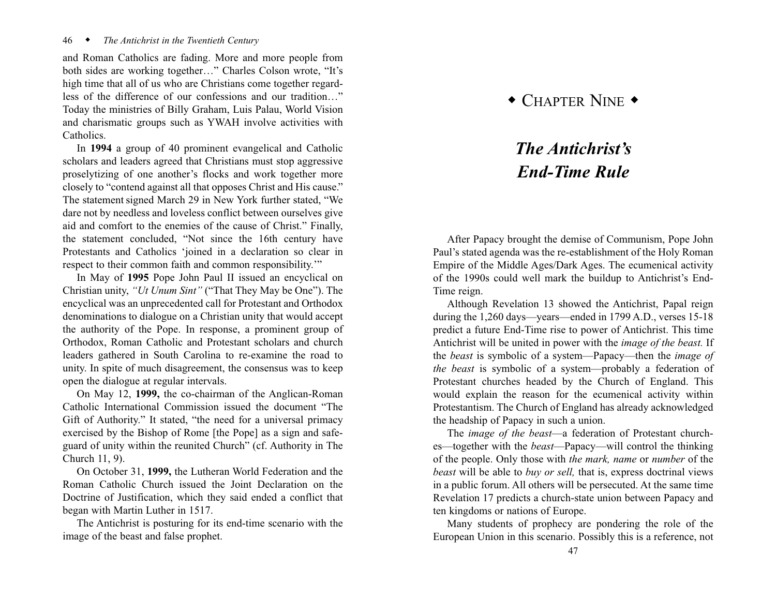#### 46 <sup>w</sup> *The Antichrist in the Twentieth Century*

and Roman Catholics are fading. More and more people from both sides are working together…" Charles Colson wrote, "It's high time that all of us who are Christians come together regardless of the difference of our confessions and our tradition…" Today the ministries of Billy Graham, Luis Palau, World Vision and charismatic groups such as YWAH involve activities with Catholics.

In **1994** a group of 40 prominent evangelical and Catholic scholars and leaders agreed that Christians must stop aggressive proselytizing of one another's flocks and work together more closely to "contend against all that opposes Christ and His cause." The statement signed March 29 in New York further stated, "We dare not by needless and loveless conflict between ourselves give aid and comfort to the enemies of the cause of Christ." Finally, the statement concluded, "Not since the 16th century have Protestants and Catholics 'joined in a declaration so clear in respect to their common faith and common responsibility.'"

In May of **1995** Pope John Paul II issued an encyclical on Christian unity, *"Ut Unum Sint"* ("That They May be One"). The encyclical was an unprecedented call for Protestant and Orthodox denominations to dialogue on a Christian unity that would accept the authority of the Pope. In response, a prominent group of Orthodox, Roman Catholic and Protestant scholars and church leaders gathered in South Carolina to re-examine the road to unity. In spite of much disagreement, the consensus was to keep open the dialogue at regular intervals.

On May 12, **1999,** the co-chairman of the Anglican-Roman Catholic International Commission issued the document "The Gift of Authority." It stated, "the need for a universal primacy exercised by the Bishop of Rome [the Pope] as a sign and safeguard of unity within the reunited Church" (cf. Authority in The Church 11, 9).

On October 31, **1999,** the Lutheran World Federation and the Roman Catholic Church issued the Joint Declaration on the Doctrine of Justification, which they said ended a conflict that began with Martin Luther in 1517.

The Antichrist is posturing for its end-time scenario with the image of the beast and false prophet.

# $\bullet$  Chapter Nine  $\bullet$

# *The Antichrist's End-Time Rule*

After Papacy brought the demise of Communism, Pope John Paul's stated agenda was the re-establishment of the Holy Roman Empire of the Middle Ages/Dark Ages. The ecumenical activity of the 1990s could well mark the buildup to Antichrist's End-Time reign.

Although Revelation 13 showed the Antichrist, Papal reign during the 1,260 days—years—ended in 1799 A.D., verses 15-18 predict a future End-Time rise to power of Antichrist. This time Antichrist will be united in power with the *image of the beast.* If the *beast* is symbolic of a system—Papacy—then the *image of the beast* is symbolic of a system—probably a federation of Protestant churches headed by the Church of England. This would explain the reason for the ecumenical activity within Protestantism. The Church of England has already acknowledged the headship of Papacy in such a union.

The *image of the beast*—a federation of Protestant churches—together with the *beast*—Papacy—will control the thinking of the people. Only those with *the mark, name* or *number* of the *beast* will be able to *buy or sell,* that is, express doctrinal views in a public forum. All others will be persecuted. At the same time Revelation 17 predicts a church-state union between Papacy and ten kingdoms or nations of Europe.

Many students of prophecy are pondering the role of the European Union in this scenario. Possibly this is a reference, not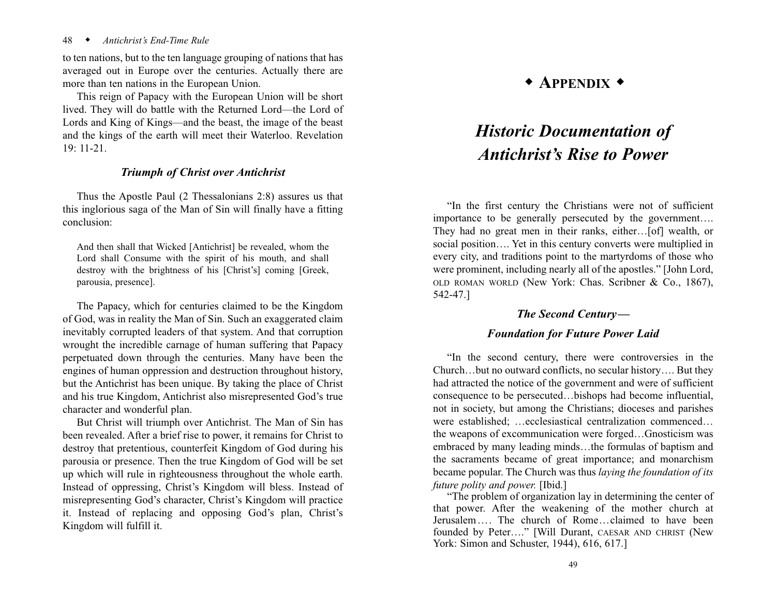#### 48 <sup>w</sup> *Antichrist's End-Time Rule*

to ten nations, but to the ten language grouping of nations that has averaged out in Europe over the centuries. Actually there are more than ten nations in the European Union.

This reign of Papacy with the European Union will be short lived. They will do battle with the Returned Lord—the Lord of Lords and King of Kings—and the beast, the image of the beast and the kings of the earth will meet their Waterloo. Revelation 19: 11-21.

## *Triumph of Christ over Antichrist*

Thus the Apostle Paul (2 Thessalonians 2:8) assures us that this inglorious saga of the Man of Sin will finally have a fitting conclusion:

And then shall that Wicked [Antichrist] be revealed, whom the Lord shall Consume with the spirit of his mouth, and shall destroy with the brightness of his [Christ's] coming [Greek, parousia, presence].

The Papacy, which for centuries claimed to be the Kingdom of God, was in reality the Man of Sin. Such an exaggerated claim inevitably corrupted leaders of that system. And that corruption wrought the incredible carnage of human suffering that Papacy perpetuated down through the centuries. Many have been the engines of human oppression and destruction throughout history, but the Antichrist has been unique. By taking the place of Christ and his true Kingdom, Antichrist also misrepresented God's true character and wonderful plan.

But Christ will triumph over Antichrist. The Man of Sin has been revealed. After a brief rise to power, it remains for Christ to destroy that pretentious, counterfeit Kingdom of God during his parousia or presence. Then the true Kingdom of God will be set up which will rule in righteousness throughout the whole earth. Instead of oppressing, Christ's Kingdom will bless. Instead of misrepresenting God's character, Christ's Kingdom will practice it. Instead of replacing and opposing God's plan, Christ's Kingdom will fulfill it.

# **\* APPENDIX \***

# *Historic Documentation of Antichrist's Rise to Power*

"In the first century the Christians were not of sufficient importance to be generally persecuted by the government…. They had no great men in their ranks, either…[of] wealth, or social position…. Yet in this century converts were multiplied in every city, and traditions point to the martyrdoms of those who were prominent, including nearly all of the apostles." [John Lord, OLD ROMAN WORLD (New York: Chas. Scribner & Co., 1867), 542-47.]

### *The Second Century—*

## *Foundation for Future Power Laid*

"In the second century, there were controversies in the Church…but no outward conflicts, no secular history…. But they had attracted the notice of the government and were of sufficient consequence to be persecuted…bishops had become influential, not in society, but among the Christians; dioceses and parishes were established; …ecclesiastical centralization commenced… the weapons of excommunication were forged…Gnosticism was embraced by many leading minds…the formulas of baptism and the sacraments became of great importance; and monarchism became popular. The Church was thus *laying the foundation of its future polity and power.* [Ibid.]

"The problem of organization lay in determining the center of that power. After the weakening of the mother church at Jerusalem…. The church of Rome…claimed to have been founded by Peter…." [Will Durant, CAESAR AND CHRIST (New York: Simon and Schuster, 1944), 616, 617.]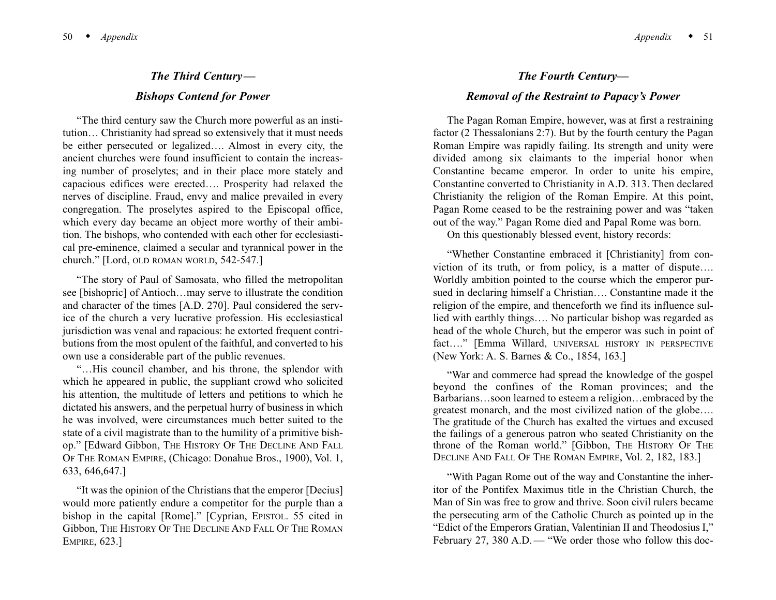# *The Third Century— Bishops Contend for Power*

"The third century saw the Church more powerful as an institution… Christianity had spread so extensively that it must needs be either persecuted or legalized…. Almost in every city, the ancient churches were found insufficient to contain the increasing number of proselytes; and in their place more stately and capacious edifices were erected…. Prosperity had relaxed the nerves of discipline. Fraud, envy and malice prevailed in every congregation. The proselytes aspired to the Episcopal office, which every day became an object more worthy of their ambition. The bishops, who contended with each other for ecclesiastical pre-eminence, claimed a secular and tyrannical power in the church." [Lord, OLD ROMAN WORLD, 542-547.]

"The story of Paul of Samosata, who filled the metropolitan see [bishopric] of Antioch…may serve to illustrate the condition and character of the times [A.D. 270]. Paul considered the service of the church a very lucrative profession. His ecclesiastical jurisdiction was venal and rapacious: he extorted frequent contributions from the most opulent of the faithful, and converted to his own use a considerable part of the public revenues.

"…His council chamber, and his throne, the splendor with which he appeared in public, the suppliant crowd who solicited his attention, the multitude of letters and petitions to which he dictated his answers, and the perpetual hurry of business in which he was involved, were circumstances much better suited to the state of a civil magistrate than to the humility of a primitive bishop." [Edward Gibbon, THE HISTORY OF THE DECLINE AND FALL OF THE ROMAN EMPIRE, (Chicago: Donahue Bros., 1900), Vol. 1, 633, 646,647.]

"It was the opinion of the Christians that the emperor [Decius] would more patiently endure a competitor for the purple than a bishop in the capital [Rome]." [Cyprian, EPISTOL. 55 cited in Gibbon, THE HISTORY OF THE DECLINE AND FALL OF THE ROMAN EMPIRE, 623.]

# *The Fourth Century— Removal of the Restraint to Papacy's Power*

The Pagan Roman Empire, however, was at first a restraining factor (2 Thessalonians 2:7). But by the fourth century the Pagan Roman Empire was rapidly failing. Its strength and unity were divided among six claimants to the imperial honor when Constantine became emperor. In order to unite his empire, Constantine converted to Christianity in A.D. 313. Then declared Christianity the religion of the Roman Empire. At this point, Pagan Rome ceased to be the restraining power and was "taken out of the way." Pagan Rome died and Papal Rome was born.

On this questionably blessed event, history records:

"Whether Constantine embraced it [Christianity] from conviction of its truth, or from policy, is a matter of dispute…. Worldly ambition pointed to the course which the emperor pursued in declaring himself a Christian…. Constantine made it the religion of the empire, and thenceforth we find its influence sullied with earthly things…. No particular bishop was regarded as head of the whole Church, but the emperor was such in point of fact…." [Emma Willard, UNIVERSAL HISTORY IN PERSPECTIVE (New York: A. S. Barnes & Co., 1854, 163.]

"War and commerce had spread the knowledge of the gospel beyond the confines of the Roman provinces; and the Barbarians…soon learned to esteem a religion…embraced by the greatest monarch, and the most civilized nation of the globe…. The gratitude of the Church has exalted the virtues and excused the failings of a generous patron who seated Christianity on the throne of the Roman world." [Gibbon, THE HISTORY OF THE DECLINE AND FALL OF THE ROMAN EMPIRE, Vol. 2, 182, 183.]

"With Pagan Rome out of the way and Constantine the inheritor of the Pontifex Maximus title in the Christian Church, the Man of Sin was free to grow and thrive. Soon civil rulers became the persecuting arm of the Catholic Church as pointed up in the "Edict of the Emperors Gratian, Valentinian II and Theodosius I," February 27, 380 A.D. — "We order those who follow this doc-